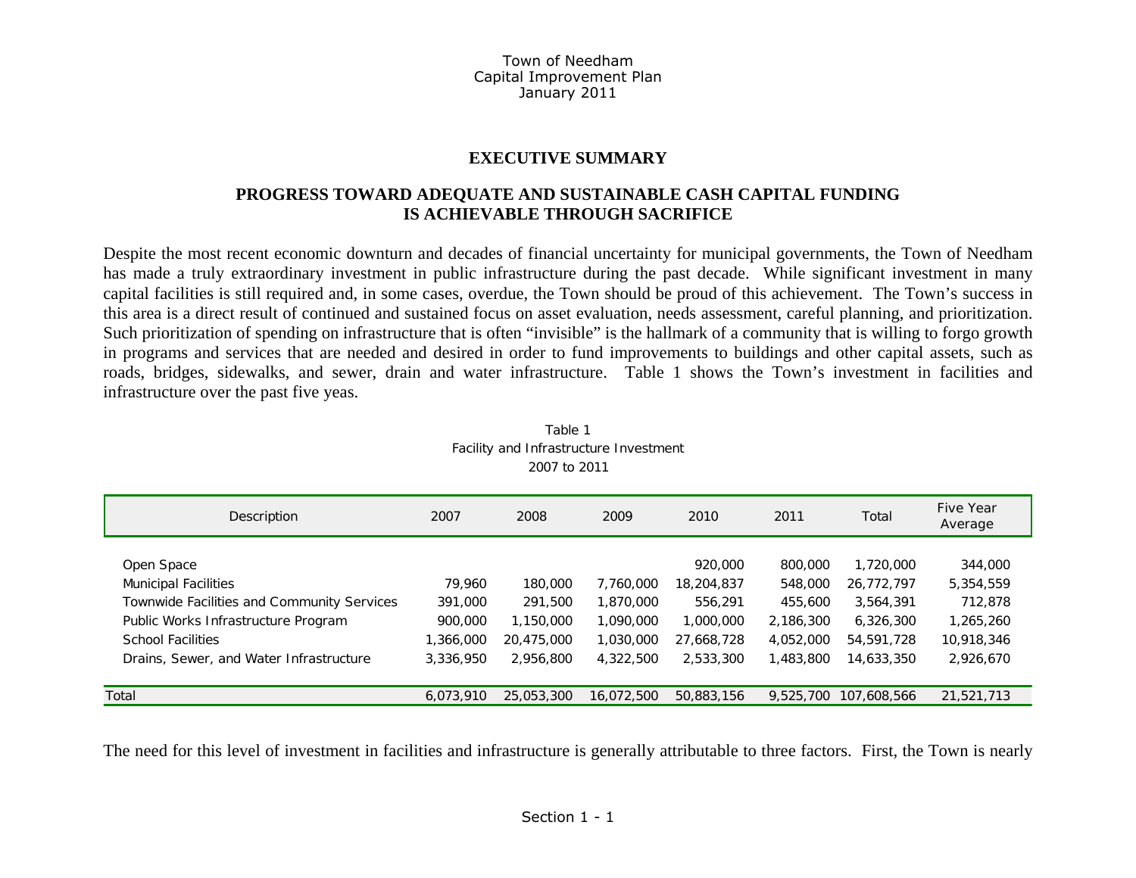### **EXECUTIVE SUMMARY**

### **PROGRESS TOWARD ADEQUATE AND SUSTAINABLE CASH CAPITAL FUNDING IS ACHIEVABLE THROUGH SACRIFICE**

Despite the most recent economic downturn and decades of financial uncertainty for municipal governments, the Town of Needham has made a truly extraordinary investment in public infrastructure during the past decade. While significant investment in many capital facilities is still required and, in some cases, overdue, the Town should be proud of this achievement. The Town's success in this area is a direct result of continued and sustained focus on asset evaluation, needs assessment, careful planning, and prioritization. Such prioritization of spending on infrastructure that is often "invisible" is the hallmark of a community that is willing to forgo growth in programs and services that are needed and desired in order to fund improvements to buildings and other capital assets, such as roads, bridges, sidewalks, and sewer, drain and water infrastructure. Table 1 shows the Town's investment in facilities and infrastructure over the past five yeas.

| Description                                | 2007      | 2008       | 2009       | 2010       | 2011      | Total       | Five Year<br>Average |
|--------------------------------------------|-----------|------------|------------|------------|-----------|-------------|----------------------|
| Open Space                                 |           |            |            | 920,000    | 800,000   | 1,720,000   | 344,000              |
| <b>Municipal Facilities</b>                | 79,960    | 180,000    | 7.760.000  | 18,204,837 | 548,000   | 26,772,797  | 5,354,559            |
| Townwide Facilities and Community Services | 391,000   | 291,500    | 1,870,000  | 556,291    | 455,600   | 3,564,391   | 712,878              |
| Public Works Infrastructure Program        | 900,000   | 1,150,000  | 1,090,000  | 1,000,000  | 2,186,300 | 6,326,300   | 1,265,260            |
| <b>School Facilities</b>                   | 1,366,000 | 20,475,000 | 1,030,000  | 27,668,728 | 4,052,000 | 54,591,728  | 10,918,346           |
| Drains, Sewer, and Water Infrastructure    | 3,336,950 | 2,956,800  | 4,322,500  | 2,533,300  | 1,483,800 | 14,633,350  | 2,926,670            |
|                                            |           |            |            |            |           |             |                      |
| Total                                      | 6.073.910 | 25,053,300 | 16.072.500 | 50,883,156 | 9,525,700 | 107.608.566 | 21,521,713           |

| Table 1                                |
|----------------------------------------|
| Facility and Infrastructure Investment |
| 2007 to 2011                           |

The need for this level of investment in facilities and infrastructure is generally attributable to three factors. First, the Town is nearly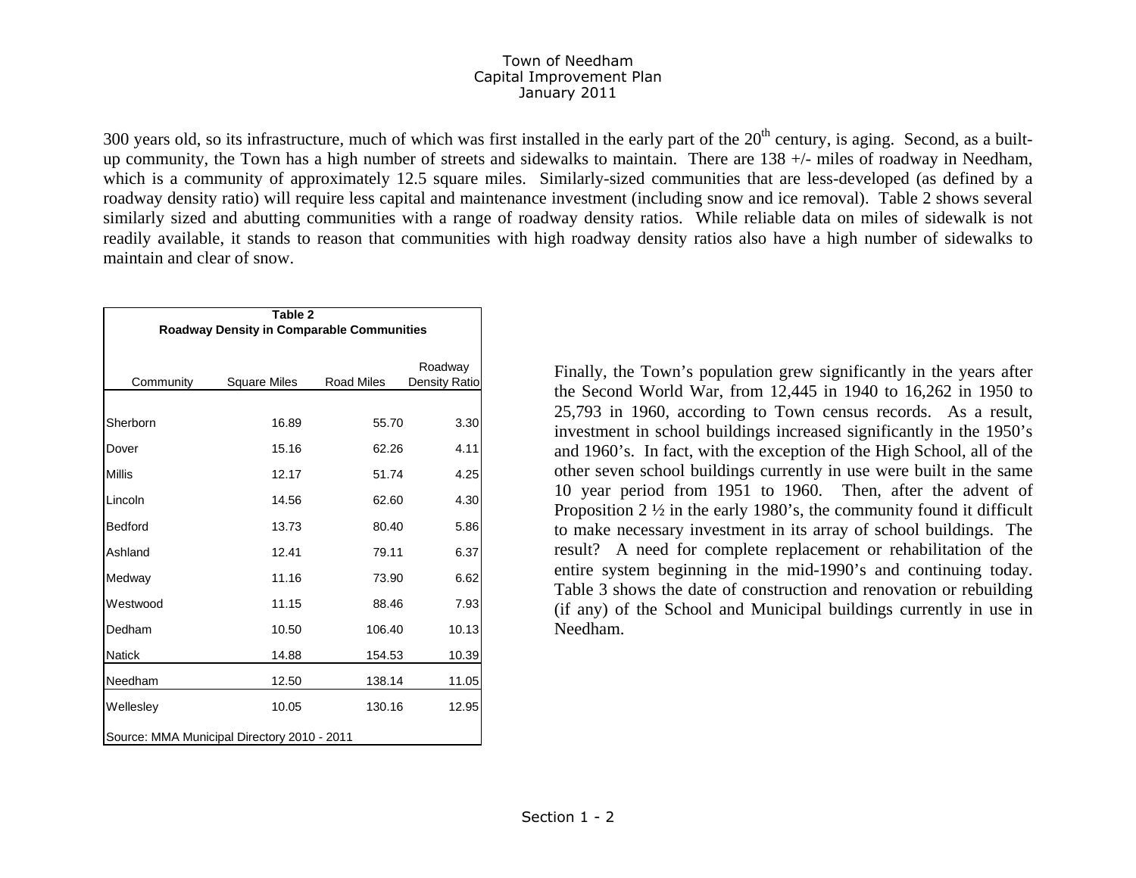300 years old, so its infrastructure, much of which was first installed in the early part of the  $20<sup>th</sup>$  century, is aging. Second, as a builtup community, the Town has a high number of streets and sidewalks to maintain. There are 138 +/- miles of roadway in Needham, which is a community of approximately 12.5 square miles. Similarly-sized communities that are less-developed (as defined by a roadway density ratio) will require less capital and maintenance investment (including snow and ice removal). Table 2 shows several similarly sized and abutting communities with a range of roadway density ratios. While reliable data on miles of sidewalk is not readily available, it stands to reason that communities with high roadway density ratios also have a high number of sidewalks to maintain and clear of snow.

|                                             | Table 2                                          |                   |                          |  |  |  |
|---------------------------------------------|--------------------------------------------------|-------------------|--------------------------|--|--|--|
|                                             | <b>Roadway Density in Comparable Communities</b> |                   |                          |  |  |  |
| Community                                   | <b>Square Miles</b>                              | <b>Road Miles</b> | Roadway<br>Density Ratio |  |  |  |
| Sherborn                                    | 16.89                                            | 55.70             | 3.30                     |  |  |  |
| Dover                                       | 15.16                                            | 62.26             | 4.11                     |  |  |  |
| <b>Millis</b>                               | 12.17                                            | 51.74             | 4.25                     |  |  |  |
| Lincoln                                     | 14.56                                            | 62.60             | 4.30                     |  |  |  |
| Bedford                                     | 13.73                                            | 80.40             | 5.86                     |  |  |  |
| Ashland                                     | 12.41                                            | 79.11             | 6.37                     |  |  |  |
| Medway                                      | 11.16                                            | 73.90             | 6.62                     |  |  |  |
| Westwood                                    | 11.15                                            | 88.46             | 7.93                     |  |  |  |
| Dedham                                      | 10.50                                            | 106.40            | 10.13                    |  |  |  |
| <b>Natick</b>                               | 14.88                                            | 154.53            | 10.39                    |  |  |  |
| Needham                                     | 12.50                                            | 138.14            | 11.05                    |  |  |  |
| Wellesley                                   | 10.05                                            | 130.16            | 12.95                    |  |  |  |
| Source: MMA Municipal Directory 2010 - 2011 |                                                  |                   |                          |  |  |  |

Finally, the Town's population grew significantly in the years after the Second World War, from 12,445 in 1940 to 16,262 in 1950 to 25,793 in 1960, according to Town census records. As a result, investment in school buildings increased significantly in the 1950's and 1960's. In fact, with the exception of the High School, all of the other seven school buildings currently in use were built in the same 10 year period from 1951 to 1960. Then, after the advent of Proposition 2 ½ in the early 1980's, the community found it difficult to make necessary investment in its array of school buildings. The result? A need for complete replacement or rehabilitation of the entire system beginning in the mid-1990's and continuing today. Table 3 shows the date of construction and renovation or rebuilding (if any) of the School and Municipal buildings currently in use in Needham.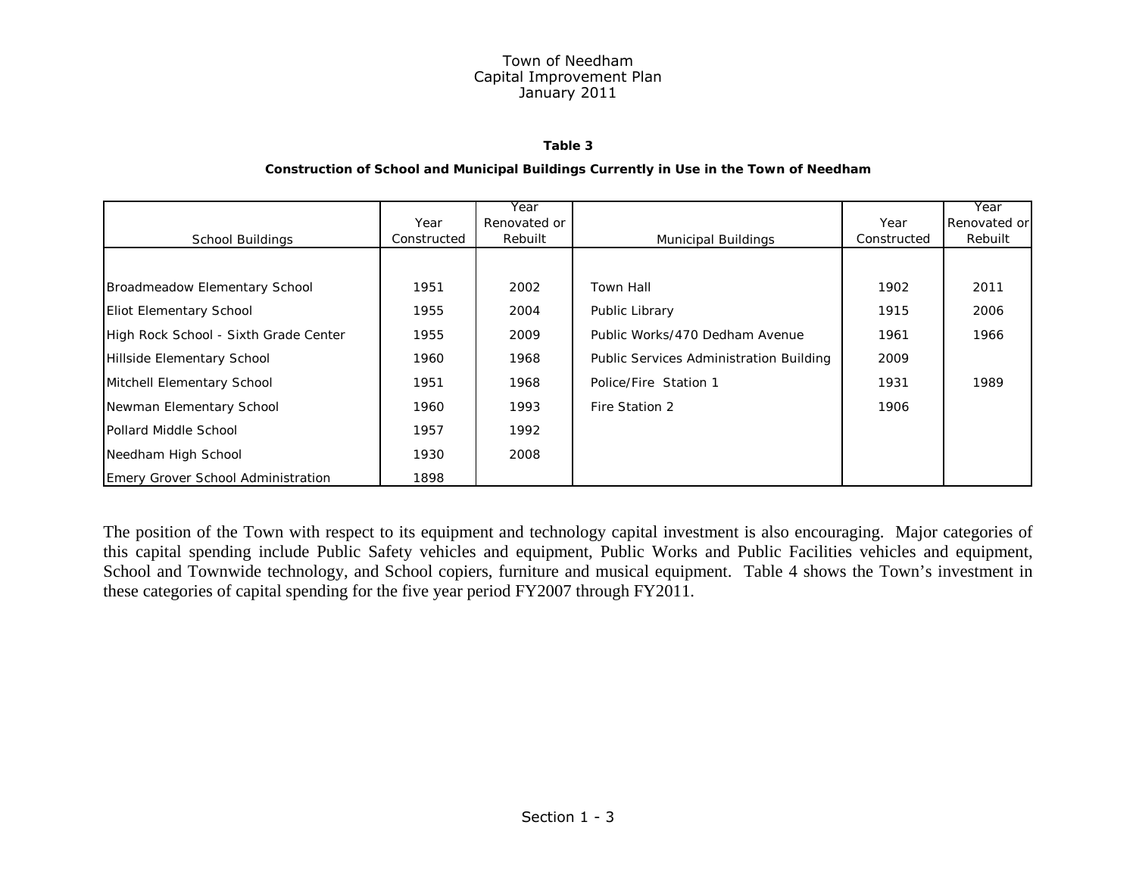#### **Table 3**

#### **Construction of School and Municipal Buildings Currently in Use in the Town of Needham**

|                                       |             | Year         |                                         |             | Year         |
|---------------------------------------|-------------|--------------|-----------------------------------------|-------------|--------------|
|                                       | Year        | Renovated or |                                         | Year        | Renovated or |
| School Buildings                      | Constructed | Rebuilt      | <b>Municipal Buildings</b>              | Constructed | Rebuilt      |
|                                       |             |              |                                         |             |              |
| Broadmeadow Elementary School         | 1951        | 2002         | <b>Town Hall</b>                        | 1902        | 2011         |
| <b>Eliot Elementary School</b>        | 1955        | 2004         | Public Library                          | 1915        | 2006         |
| High Rock School - Sixth Grade Center | 1955        | 2009         | Public Works/470 Dedham Avenue          | 1961        | 1966         |
| Hillside Elementary School            | 1960        | 1968         | Public Services Administration Building | 2009        |              |
| Mitchell Elementary School            | 1951        | 1968         | Police/Fire Station 1                   | 1931        | 1989         |
| Newman Elementary School              | 1960        | 1993         | Fire Station 2                          | 1906        |              |
| Pollard Middle School                 | 1957        | 1992         |                                         |             |              |
| Needham High School                   | 1930        | 2008         |                                         |             |              |
| Emery Grover School Administration    | 1898        |              |                                         |             |              |

The position of the Town with respect to its equipment and technology capital investment is also encouraging. Major categories of this capital spending include Public Safety vehicles and equipment, Public Works and Public Facilities vehicles and equipment, School and Townwide technology, and School copiers, furniture and musical equipment. Table 4 shows the Town's investment in these categories of capital spending for the five year period FY2007 through FY2011.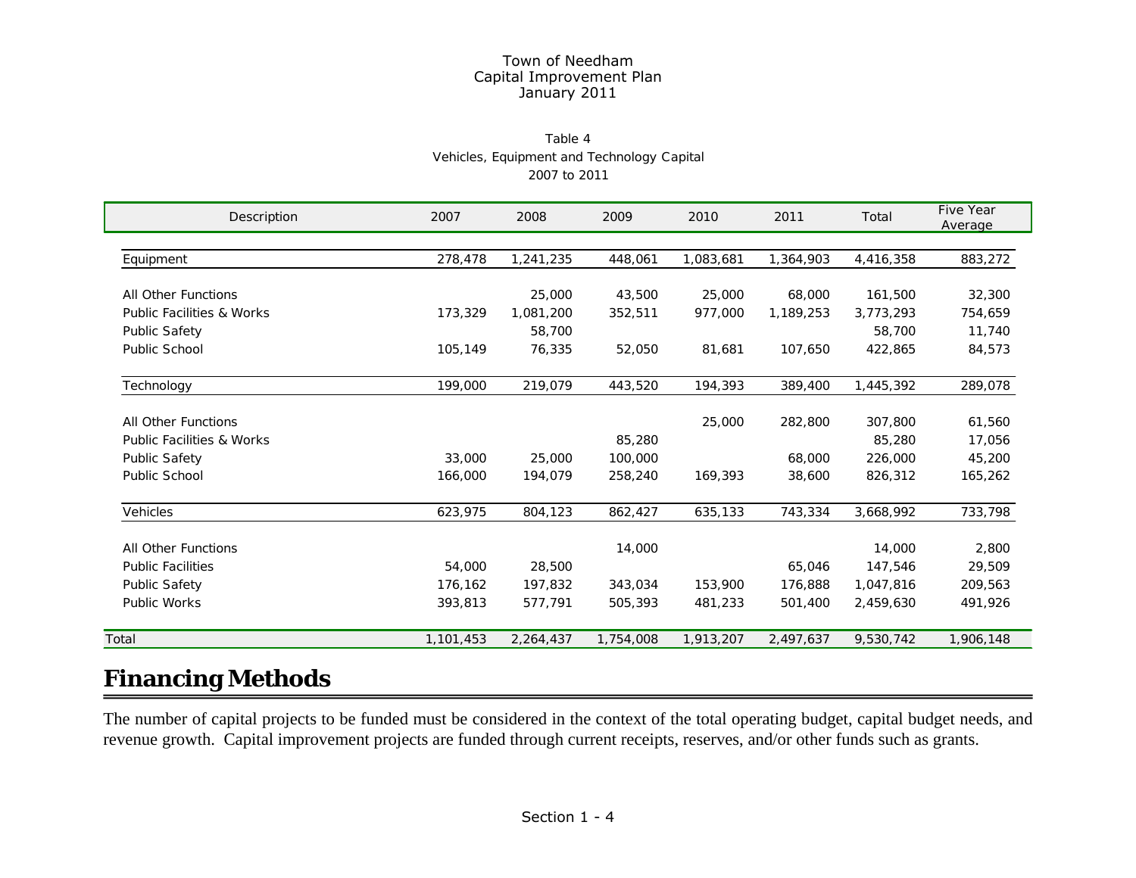#### Table 4Vehicles, Equipment and Technology Capital 2007 to 2011

| Description                          | 2007      | 2008      | 2009      | 2010      | 2011      | Total     | Five Year<br>Average |
|--------------------------------------|-----------|-----------|-----------|-----------|-----------|-----------|----------------------|
|                                      |           |           |           |           |           |           |                      |
| Equipment                            | 278,478   | 1,241,235 | 448,061   | 1,083,681 | 1,364,903 | 4,416,358 | 883,272              |
| All Other Functions                  |           | 25,000    | 43,500    | 25,000    | 68,000    | 161,500   | 32,300               |
| <b>Public Facilities &amp; Works</b> | 173,329   | 1,081,200 | 352,511   | 977,000   | 1,189,253 | 3,773,293 | 754,659              |
| <b>Public Safety</b>                 |           | 58,700    |           |           |           | 58,700    | 11,740               |
| Public School                        | 105,149   | 76,335    | 52,050    | 81,681    | 107,650   | 422,865   | 84,573               |
| Technology                           | 199,000   | 219,079   | 443,520   | 194,393   | 389,400   | 1,445,392 | 289,078              |
| All Other Functions                  |           |           |           | 25,000    | 282,800   | 307,800   | 61,560               |
| <b>Public Facilities &amp; Works</b> |           |           | 85,280    |           |           | 85,280    | 17,056               |
| <b>Public Safety</b>                 | 33,000    | 25,000    | 100,000   |           | 68,000    | 226,000   | 45,200               |
| Public School                        | 166,000   | 194,079   | 258,240   | 169,393   | 38,600    | 826,312   | 165,262              |
| <b>Vehicles</b>                      | 623,975   | 804,123   | 862,427   | 635,133   | 743,334   | 3,668,992 | 733,798              |
| All Other Functions                  |           |           | 14,000    |           |           | 14,000    | 2,800                |
| <b>Public Facilities</b>             | 54,000    | 28,500    |           |           | 65,046    | 147,546   | 29,509               |
| <b>Public Safety</b>                 | 176,162   | 197,832   | 343,034   | 153,900   | 176,888   | 1,047,816 | 209,563              |
| Public Works                         | 393,813   | 577,791   | 505,393   | 481,233   | 501,400   | 2,459,630 | 491,926              |
| Total                                | 1,101,453 | 2,264,437 | 1,754,008 | 1,913,207 | 2,497,637 | 9,530,742 | 1,906,148            |
|                                      |           |           |           |           |           |           |                      |

# **Financing Methods**

The number of capital projects to be funded must be considered in the context of the total operating budget, capital budget needs, and revenue growth. Capital improvement projects are funded through current receipts, reserves, and/or other funds such as grants.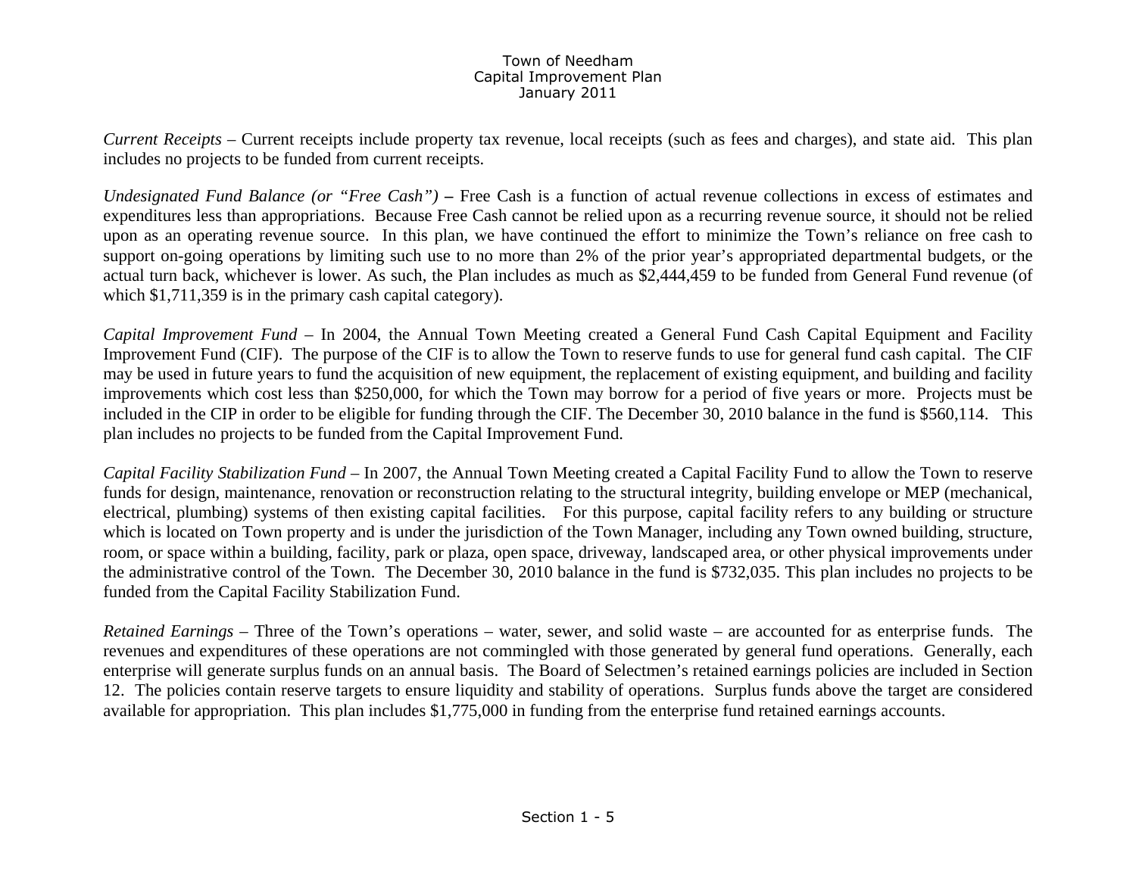*Current Receipts* – Current receipts include property tax revenue, local receipts (such as fees and charges), and state aid. This plan includes no projects to be funded from current receipts.

*Undesignated Fund Balance (or "Free Cash")* – Free Cash is a function of actual revenue collections in excess of estimates and expenditures less than appropriations. Because Free Cash cannot be relied upon as a recurring revenue source, it should not be relied upon as an operating revenue source. In this plan, we have continued the effort to minimize the Town's reliance on free cash to support on-going operations by limiting such use to no more than 2% of the prior year's appropriated departmental budgets, or the actual turn back, whichever is lower. As such, the Plan includes as much as \$2,444,459 to be funded from General Fund revenue (of which \$1,711,359 is in the primary cash capital category).

*Capital Improvement Fund –* In 2004, the Annual Town Meeting created a General Fund Cash Capital Equipment and Facility Improvement Fund (CIF). The purpose of the CIF is to allow the Town to reserve funds to use for general fund cash capital. The CIF may be used in future years to fund the acquisition of new equipment, the replacement of existing equipment, and building and facility improvements which cost less than \$250,000, for which the Town may borrow for a period of five years or more. Projects must be included in the CIP in order to be eligible for funding through the CIF. The December 30, 2010 balance in the fund is \$560,114. This plan includes no projects to be funded from the Capital Improvement Fund.

*Capital Facility Stabilization Fund –* In 2007, the Annual Town Meeting created a Capital Facility Fund to allow the Town to reserve funds for design, maintenance, renovation or reconstruction relating to the structural integrity, building envelope or MEP (mechanical, electrical, plumbing) systems of then existing capital facilities. For this purpose, capital facility refers to any building or structure which is located on Town property and is under the jurisdiction of the Town Manager, including any Town owned building, structure, room, or space within a building, facility, park or plaza, open space, driveway, landscaped area, or other physical improvements under the administrative control of the Town. The December 30, 2010 balance in the fund is \$732,035. This plan includes no projects to be funded from the Capital Facility Stabilization Fund.

*Retained Earnings* – Three of the Town's operations – water, sewer, and solid waste – are accounted for as enterprise funds. The revenues and expenditures of these operations are not commingled with those generated by general fund operations. Generally, each enterprise will generate surplus funds on an annual basis. The Board of Selectmen's retained earnings policies are included in Section 12. The policies contain reserve targets to ensure liquidity and stability of operations. Surplus funds above the target are considered available for appropriation. This plan includes \$1,775,000 in funding from the enterprise fund retained earnings accounts.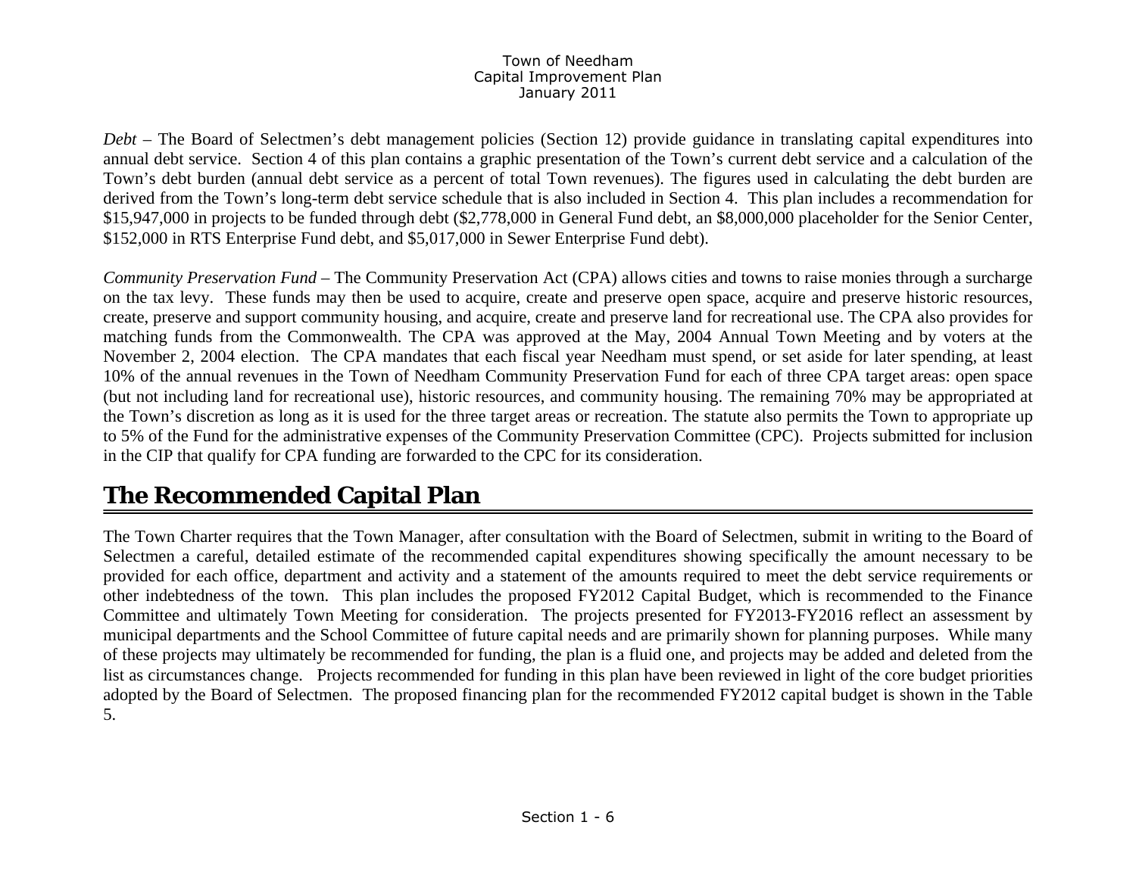*Debt* – The Board of Selectmen's debt management policies (Section 12) provide guidance in translating capital expenditures into annual debt service. Section 4 of this plan contains a graphic presentation of the Town's current debt service and a calculation of the Town's debt burden (annual debt service as a percent of total Town revenues). The figures used in calculating the debt burden are derived from the Town's long-term debt service schedule that is also included in Section 4. This plan includes a recommendation for \$15,947,000 in projects to be funded through debt (\$2,778,000 in General Fund debt, an \$8,000,000 placeholder for the Senior Center, \$152,000 in RTS Enterprise Fund debt, and \$5,017,000 in Sewer Enterprise Fund debt).

*Community Preservation Fund –* The Community Preservation Act (CPA) allows cities and towns to raise monies through a surcharge on the tax levy. These funds may then be used to acquire, create and preserve open space, acquire and preserve historic resources, create, preserve and support community housing, and acquire, create and preserve land for recreational use. The CPA also provides for matching funds from the Commonwealth. The CPA was approved at the May, 2004 Annual Town Meeting and by voters at the November 2, 2004 election. The CPA mandates that each fiscal year Needham must spend, or set aside for later spending, at least 10% of the annual revenues in the Town of Needham Community Preservation Fund for each of three CPA target areas: open space (but not including land for recreational use), historic resources, and community housing. The remaining 70% may be appropriated at the Town's discretion as long as it is used for the three target areas or recreation. The statute also permits the Town to appropriate up to 5% of the Fund for the administrative expenses of the Community Preservation Committee (CPC). Projects submitted for inclusion in the CIP that qualify for CPA funding are forwarded to the CPC for its consideration.

# **The Recommended Capital Plan**

The Town Charter requires that the Town Manager, after consultation with the Board of Selectmen, submit in writing to the Board of Selectmen a careful, detailed estimate of the recommended capital expenditures showing specifically the amount necessary to be provided for each office, department and activity and a statement of the amounts required to meet the debt service requirements or other indebtedness of the town. This plan includes the proposed FY2012 Capital Budget, which is recommended to the Finance Committee and ultimately Town Meeting for consideration. The projects presented for FY2013-FY2016 reflect an assessment by municipal departments and the School Committee of future capital needs and are primarily shown for planning purposes. While many of these projects may ultimately be recommended for funding, the plan is a fluid one, and projects may be added and deleted from the list as circumstances change. Projects recommended for funding in this plan have been reviewed in light of the core budget priorities adopted by the Board of Selectmen. The proposed financing plan for the recommended FY2012 capital budget is shown in the Table 5.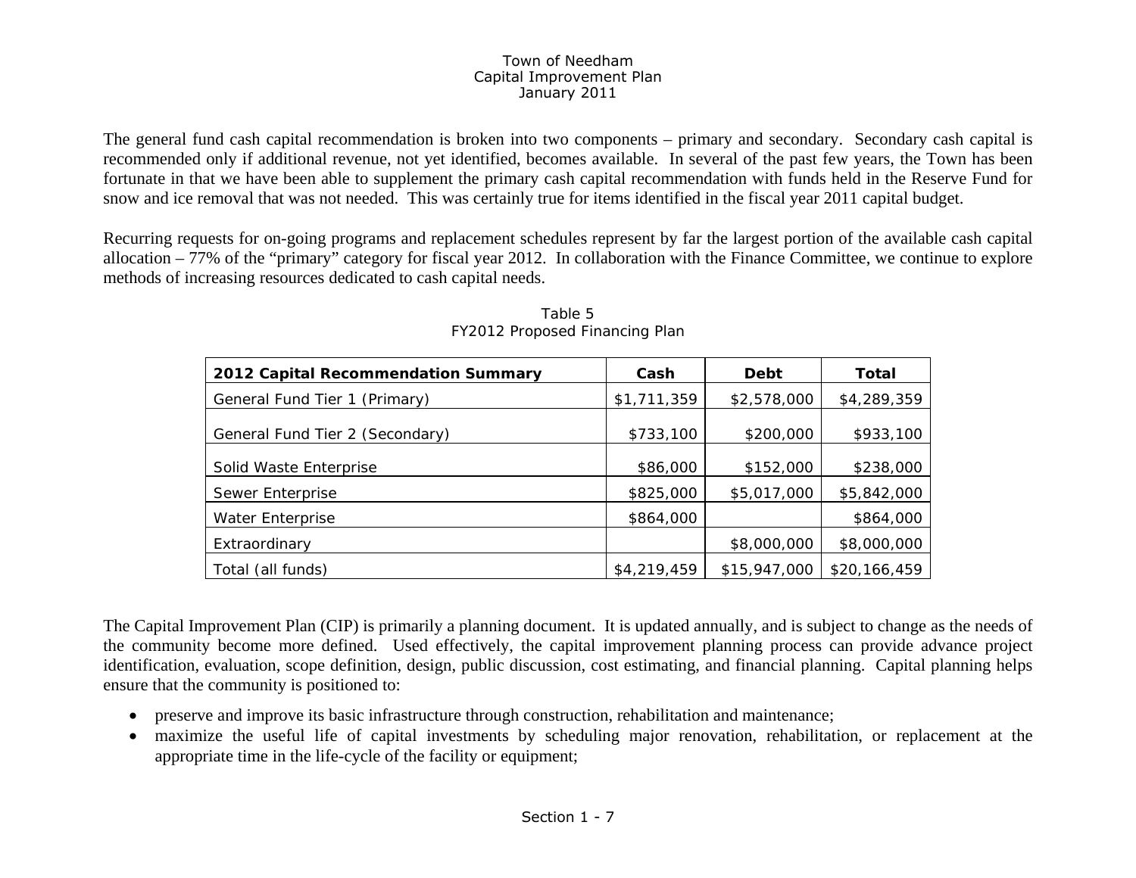The general fund cash capital recommendation is broken into two components – primary and secondary. Secondary cash capital is recommended only if additional revenue, not yet identified, becomes available. In several of the past few years, the Town has been fortunate in that we have been able to supplement the primary cash capital recommendation with funds held in the Reserve Fund for snow and ice removal that was not needed. This was certainly true for items identified in the fiscal year 2011 capital budget.

Recurring requests for on-going programs and replacement schedules represent by far the largest portion of the available cash capital allocation – 77% of the "primary" category for fiscal year 2012. In collaboration with the Finance Committee, we continue to explore methods of increasing resources dedicated to cash capital needs.

| 2012 Capital Recommendation Summary | Cash        | <b>Debt</b>  | <b>Total</b> |
|-------------------------------------|-------------|--------------|--------------|
| General Fund Tier 1 (Primary)       | \$1,711,359 | \$2,578,000  | \$4,289,359  |
| General Fund Tier 2 (Secondary)     | \$733,100   | \$200,000    | \$933,100    |
| Solid Waste Enterprise              | \$86,000    | \$152,000    | \$238,000    |
| Sewer Enterprise                    | \$825,000   | \$5,017,000  | \$5,842,000  |
| Water Enterprise                    | \$864,000   |              | \$864,000    |
| Extraordinary                       |             | \$8,000,000  | \$8,000,000  |
| Total (all funds)                   | \$4,219,459 | \$15,947,000 | \$20,166,459 |

Table 5 FY2012 Proposed Financing Plan

The Capital Improvement Plan (CIP) is primarily a planning document. It is updated annually, and is subject to change as the needs of the community become more defined. Used effectively, the capital improvement planning process can provide advance project identification, evaluation, scope definition, design, public discussion, cost estimating, and financial planning. Capital planning helps ensure that the community is positioned to:

- $\bullet$ preserve and improve its basic infrastructure through construction, rehabilitation and maintenance;
- $\bullet$  maximize the useful life of capital investments by scheduling major renovation, rehabilitation, or replacement at the appropriate time in the life-cycle of the facility or equipment;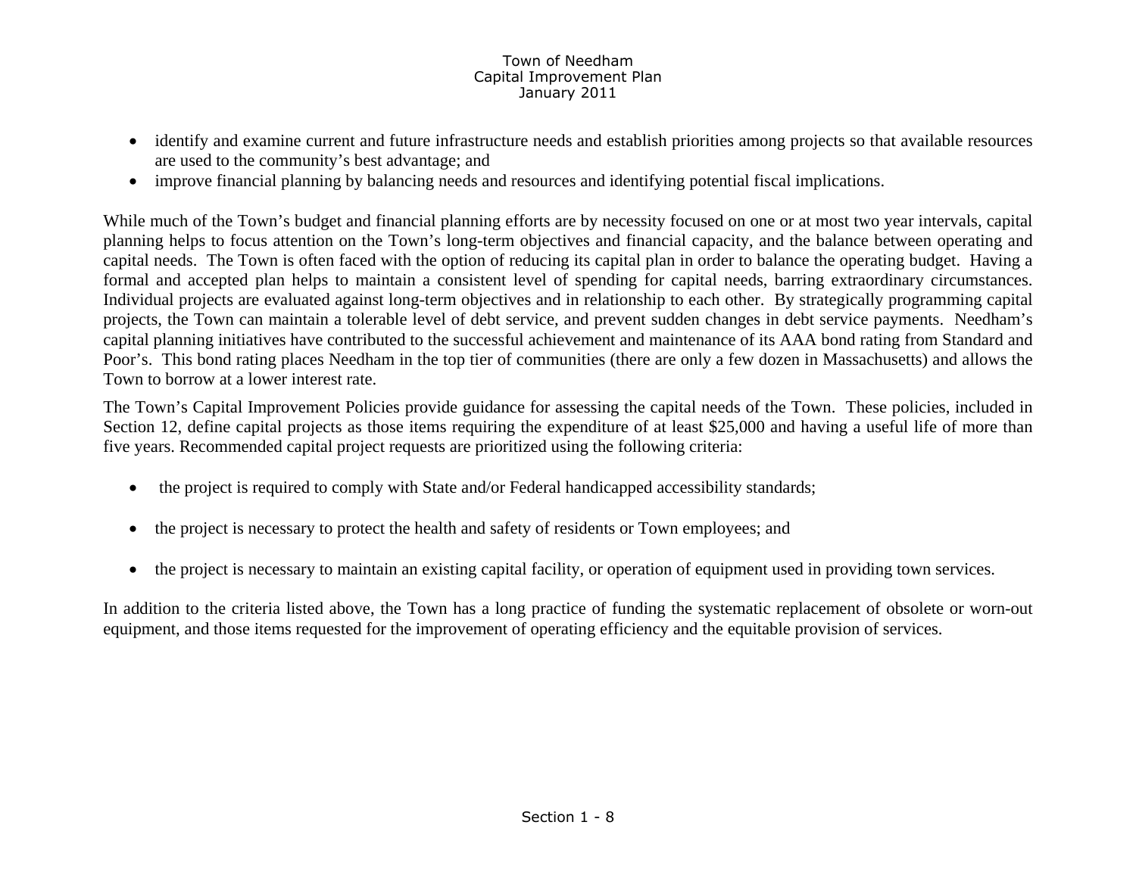- identify and examine current and future infrastructure needs and establish priorities among projects so that available resources are used to the community's best advantage; and
- improve financial planning by balancing needs and resources and identifying potential fiscal implications.

While much of the Town's budget and financial planning efforts are by necessity focused on one or at most two year intervals, capital planning helps to focus attention on the Town's long-term objectives and financial capacity, and the balance between operating and capital needs. The Town is often faced with the option of reducing its capital plan in order to balance the operating budget. Having a formal and accepted plan helps to maintain a consistent level of spending for capital needs, barring extraordinary circumstances. Individual projects are evaluated against long-term objectives and in relationship to each other. By strategically programming capital projects, the Town can maintain a tolerable level of debt service, and prevent sudden changes in debt service payments. Needham's capital planning initiatives have contributed to the successful achievement and maintenance of its AAA bond rating from Standard and Poor's. This bond rating places Needham in the top tier of communities (there are only a few dozen in Massachusetts) and allows the Town to borrow at a lower interest rate.

The Town's Capital Improvement Policies provide guidance for assessing the capital needs of the Town. These policies, included in Section 12, define capital projects as those items requiring the expenditure of at least \$25,000 and having a useful life of more than five years. Recommended capital project requests are prioritized using the following criteria:

- the project is required to comply with State and/or Federal handicapped accessibility standards;
- $\bullet$ the project is necessary to protect the health and safety of residents or Town employees; and
- •the project is necessary to maintain an existing capital facility, or operation of equipment used in providing town services.

In addition to the criteria listed above, the Town has a long practice of funding the systematic replacement of obsolete or worn-out equipment, and those items requested for the improvement of operating efficiency and the equitable provision of services.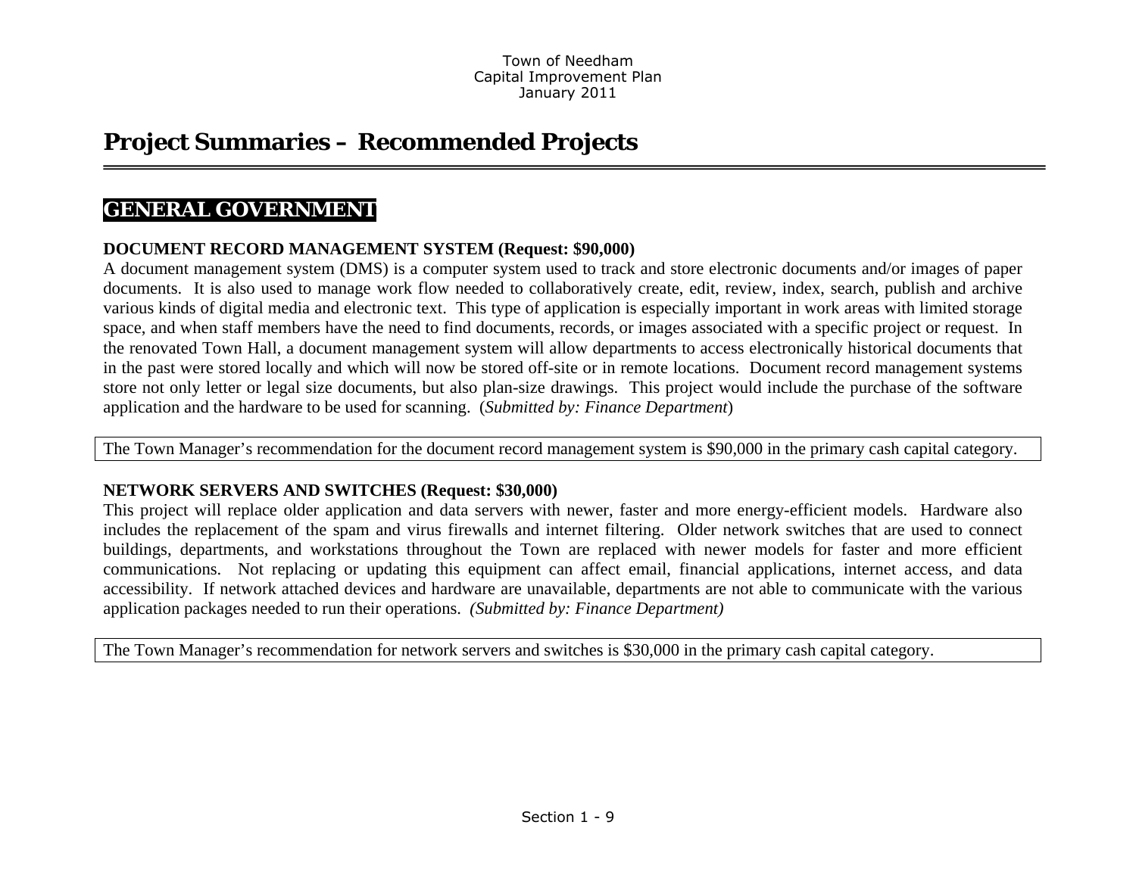# **Project Summaries – Recommended Projects**

## **GENERAL GOVERNMENT**

### **DOCUMENT RECORD MANAGEMENT SYSTEM (Request: \$90,000)**

A document management system (DMS) is a computer system used to track and store electronic documents and/or images of paper documents. It is also used to manage work flow needed to collaboratively create, edit, review, index, search, publish and archive various kinds of digital media and electronic text. This type of application is especially important in work areas with limited storage space, and when staff members have the need to find documents, records, or images associated with a specific project or request. In the renovated Town Hall, a document management system will allow departments to access electronically historical documents that in the past were stored locally and which will now be stored off-site or in remote locations. Document record management systems store not only letter or legal size documents, but also plan-size drawings. This project would include the purchase of the software application and the hardware to be used for scanning. (*Submitted by: Finance Department*)

The Town Manager's recommendation for the document record management system is \$90,000 in the primary cash capital category.

### **NETWORK SERVERS AND SWITCHES (Request: \$30,000)**

This project will replace older application and data servers with newer, faster and more energy-efficient models. Hardware also includes the replacement of the spam and virus firewalls and internet filtering. Older network switches that are used to connect buildings, departments, and workstations throughout the Town are replaced with newer models for faster and more efficient communications. Not replacing or updating this equipment can affect email, financial applications, internet access, and data accessibility. If network attached devices and hardware are unavailable, departments are not able to communicate with the various application packages needed to run their operations. *(Submitted by: Finance Department)* 

The Town Manager's recommendation for network servers and switches is \$30,000 in the primary cash capital category.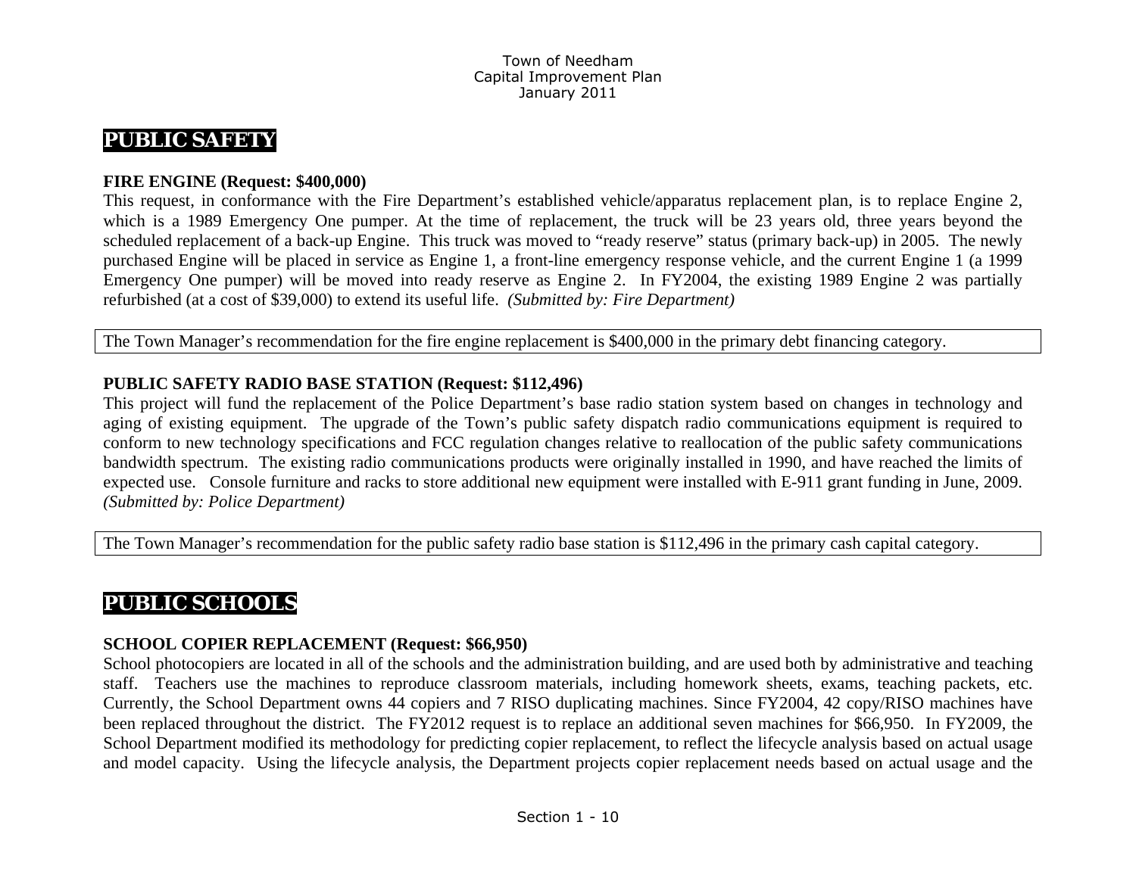# **PUBLIC SAFETY**

### **FIRE ENGINE (Request: \$400,000)**

This request, in conformance with the Fire Department's established vehicle/apparatus replacement plan, is to replace Engine 2, which is a 1989 Emergency One pumper. At the time of replacement, the truck will be 23 years old, three years beyond the scheduled replacement of a back-up Engine. This truck was moved to "ready reserve" status (primary back-up) in 2005. The newly purchased Engine will be placed in service as Engine 1, a front-line emergency response vehicle, and the current Engine 1 (a 1999 Emergency One pumper) will be moved into ready reserve as Engine 2. In FY2004, the existing 1989 Engine 2 was partially refurbished (at a cost of \$39,000) to extend its useful life. *(Submitted by: Fire Department)* 

The Town Manager's recommendation for the fire engine replacement is \$400,000 in the primary debt financing category.

### **PUBLIC SAFETY RADIO BASE STATION (Request: \$112,496)**

This project will fund the replacement of the Police Department's base radio station system based on changes in technology and aging of existing equipment. The upgrade of the Town's public safety dispatch radio communications equipment is required to conform to new technology specifications and FCC regulation changes relative to reallocation of the public safety communications bandwidth spectrum. The existing radio communications products were originally installed in 1990, and have reached the limits of expected use. Console furniture and racks to store additional new equipment were installed with E-911 grant funding in June, 2009. *(Submitted by: Police Department)* 

The Town Manager's recommendation for the public safety radio base station is \$112,496 in the primary cash capital category.

# **PUBLIC SCHOOLS**

### **SCHOOL COPIER REPLACEMENT (Request: \$66,950)**

School photocopiers are located in all of the schools and the administration building, and are used both by administrative and teaching staff. Teachers use the machines to reproduce classroom materials, including homework sheets, exams, teaching packets, etc. Currently, the School Department owns 44 copiers and 7 RISO duplicating machines. Since FY2004, 42 copy/RISO machines have been replaced throughout the district. The FY2012 request is to replace an additional seven machines for \$66,950. In FY2009, the School Department modified its methodology for predicting copier replacement, to reflect the lifecycle analysis based on actual usage and model capacity. Using the lifecycle analysis, the Department projects copier replacement needs based on actual usage and the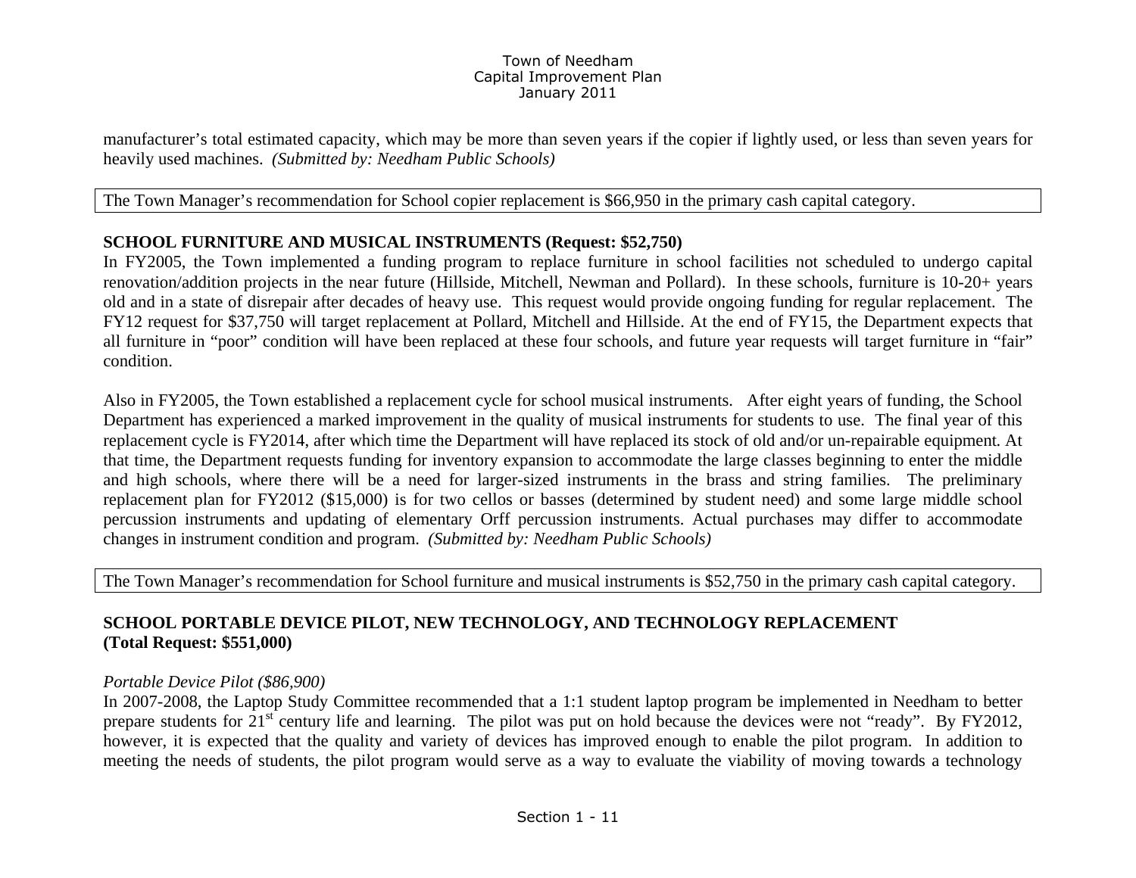manufacturer's total estimated capacity, which may be more than seven years if the copier if lightly used, or less than seven years for heavily used machines. *(Submitted by: Needham Public Schools)* 

The Town Manager's recommendation for School copier replacement is \$66,950 in the primary cash capital category.

### **SCHOOL FURNITURE AND MUSICAL INSTRUMENTS (Request: \$52,750)**

In FY2005, the Town implemented a funding program to replace furniture in school facilities not scheduled to undergo capital renovation/addition projects in the near future (Hillside, Mitchell, Newman and Pollard). In these schools, furniture is 10-20+ years old and in a state of disrepair after decades of heavy use. This request would provide ongoing funding for regular replacement. The FY12 request for \$37,750 will target replacement at Pollard, Mitchell and Hillside. At the end of FY15, the Department expects that all furniture in "poor" condition will have been replaced at these four schools, and future year requests will target furniture in "fair" condition.

Also in FY2005, the Town established a replacement cycle for school musical instruments. After eight years of funding, the School Department has experienced a marked improvement in the quality of musical instruments for students to use. The final year of this replacement cycle is FY2014, after which time the Department will have replaced its stock of old and/or un-repairable equipment. At that time, the Department requests funding for inventory expansion to accommodate the large classes beginning to enter the middle and high schools, where there will be a need for larger-sized instruments in the brass and string families. The preliminary replacement plan for FY2012 (\$15,000) is for two cellos or basses (determined by student need) and some large middle school percussion instruments and updating of elementary Orff percussion instruments. Actual purchases may differ to accommodate changes in instrument condition and program. *(Submitted by: Needham Public Schools)* 

The Town Manager's recommendation for School furniture and musical instruments is \$52,750 in the primary cash capital category.

### **SCHOOL PORTABLE DEVICE PILOT, NEW TECHNOLOGY, AND TECHNOLOGY REPLACEMENT (Total Request: \$551,000)**

### *Portable Device Pilot (\$86,900)*

In 2007-2008, the Laptop Study Committee recommended that a 1:1 student laptop program be implemented in Needham to better prepare students for 21<sup>st</sup> century life and learning. The pilot was put on hold because the devices were not "ready". By FY2012, however, it is expected that the quality and variety of devices has improved enough to enable the pilot program. In addition to meeting the needs of students, the pilot program would serve as a way to evaluate the viability of moving towards a technology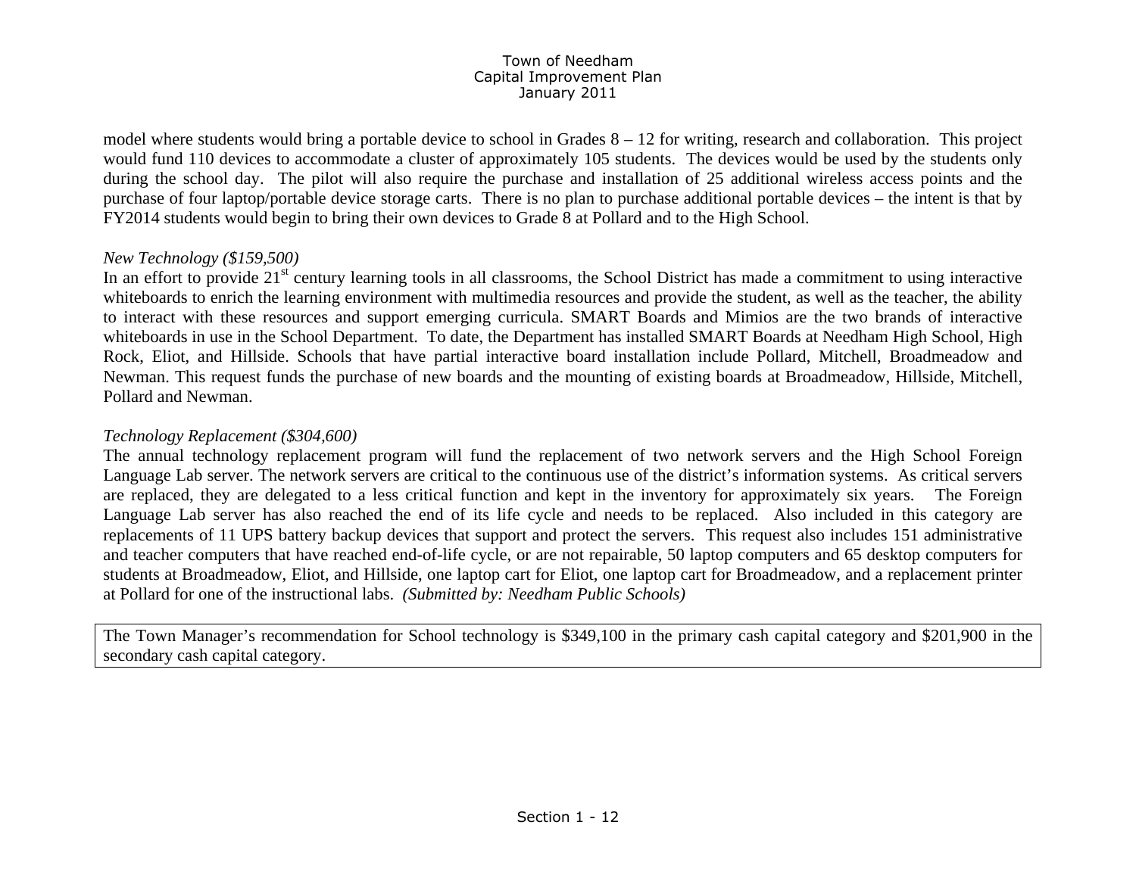model where students would bring a portable device to school in Grades  $8 - 12$  for writing, research and collaboration. This project would fund 110 devices to accommodate a cluster of approximately 105 students. The devices would be used by the students only during the school day. The pilot will also require the purchase and installation of 25 additional wireless access points and the purchase of four laptop/portable device storage carts. There is no plan to purchase additional portable devices – the intent is that by FY2014 students would begin to bring their own devices to Grade 8 at Pollard and to the High School.

### *New Technology (\$159,500)*

In an effort to provide 21<sup>st</sup> century learning tools in all classrooms, the School District has made a commitment to using interactive whiteboards to enrich the learning environment with multimedia resources and provide the student, as well as the teacher, the ability to interact with these resources and support emerging curricula. SMART Boards and Mimios are the two brands of interactive whiteboards in use in the School Department. To date, the Department has installed SMART Boards at Needham High School, High Rock, Eliot, and Hillside. Schools that have partial interactive board installation include Pollard, Mitchell, Broadmeadow and Newman. This request funds the purchase of new boards and the mounting of existing boards at Broadmeadow, Hillside, Mitchell, Pollard and Newman.

### *Technology Replacement (\$304,600)*

The annual technology replacement program will fund the replacement of two network servers and the High School Foreign Language Lab server. The network servers are critical to the continuous use of the district's information systems. As critical servers are replaced, they are delegated to a less critical function and kept in the inventory for approximately six years. The Foreign Language Lab server has also reached the end of its life cycle and needs to be replaced. Also included in this category are replacements of 11 UPS battery backup devices that support and protect the servers. This request also includes 151 administrative and teacher computers that have reached end-of-life cycle, or are not repairable, 50 laptop computers and 65 desktop computers for students at Broadmeadow, Eliot, and Hillside, one laptop cart for Eliot, one laptop cart for Broadmeadow, and a replacement printer at Pollard for one of the instructional labs. *(Submitted by: Needham Public Schools)*

The Town Manager's recommendation for School technology is \$349,100 in the primary cash capital category and \$201,900 in the secondary cash capital category.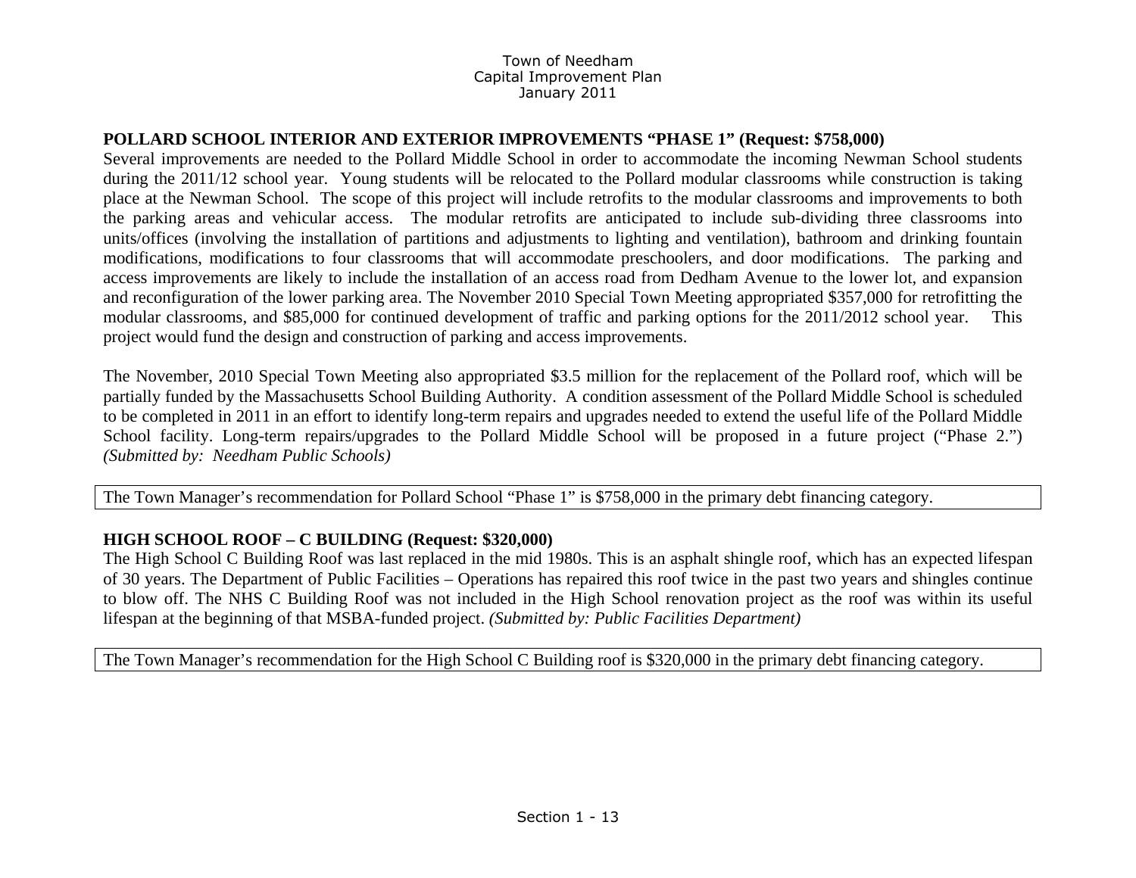### **POLLARD SCHOOL INTERIOR AND EXTERIOR IMPROVEMENTS "PHASE 1" (Request: \$758,000)**

Several improvements are needed to the Pollard Middle School in order to accommodate the incoming Newman School students during the 2011/12 school year. Young students will be relocated to the Pollard modular classrooms while construction is taking place at the Newman School. The scope of this project will include retrofits to the modular classrooms and improvements to both the parking areas and vehicular access. The modular retrofits are anticipated to include sub-dividing three classrooms into units/offices (involving the installation of partitions and adjustments to lighting and ventilation), bathroom and drinking fountain modifications, modifications to four classrooms that will accommodate preschoolers, and door modifications. The parking and access improvements are likely to include the installation of an access road from Dedham Avenue to the lower lot, and expansion and reconfiguration of the lower parking area. The November 2010 Special Town Meeting appropriated \$357,000 for retrofitting the modular classrooms, and \$85,000 for continued development of traffic and parking options for the 2011/2012 school year. This project would fund the design and construction of parking and access improvements.

The November, 2010 Special Town Meeting also appropriated \$3.5 million for the replacement of the Pollard roof, which will be partially funded by the Massachusetts School Building Authority. A condition assessment of the Pollard Middle School is scheduled to be completed in 2011 in an effort to identify long-term repairs and upgrades needed to extend the useful life of the Pollard Middle School facility. Long-term repairs/upgrades to the Pollard Middle School will be proposed in a future project ("Phase 2.") *(Submitted by: Needham Public Schools)*

The Town Manager's recommendation for Pollard School "Phase 1" is \$758,000 in the primary debt financing category.

### **HIGH SCHOOL ROOF – C BUILDING (Request: \$320,000)**

The High School C Building Roof was last replaced in the mid 1980s. This is an asphalt shingle roof, which has an expected lifespan of 30 years. The Department of Public Facilities – Operations has repaired this roof twice in the past two years and shingles continue to blow off. The NHS C Building Roof was not included in the High School renovation project as the roof was within its useful lifespan at the beginning of that MSBA-funded project. *(Submitted by: Public Facilities Department)* 

The Town Manager's recommendation for the High School C Building roof is \$320,000 in the primary debt financing category.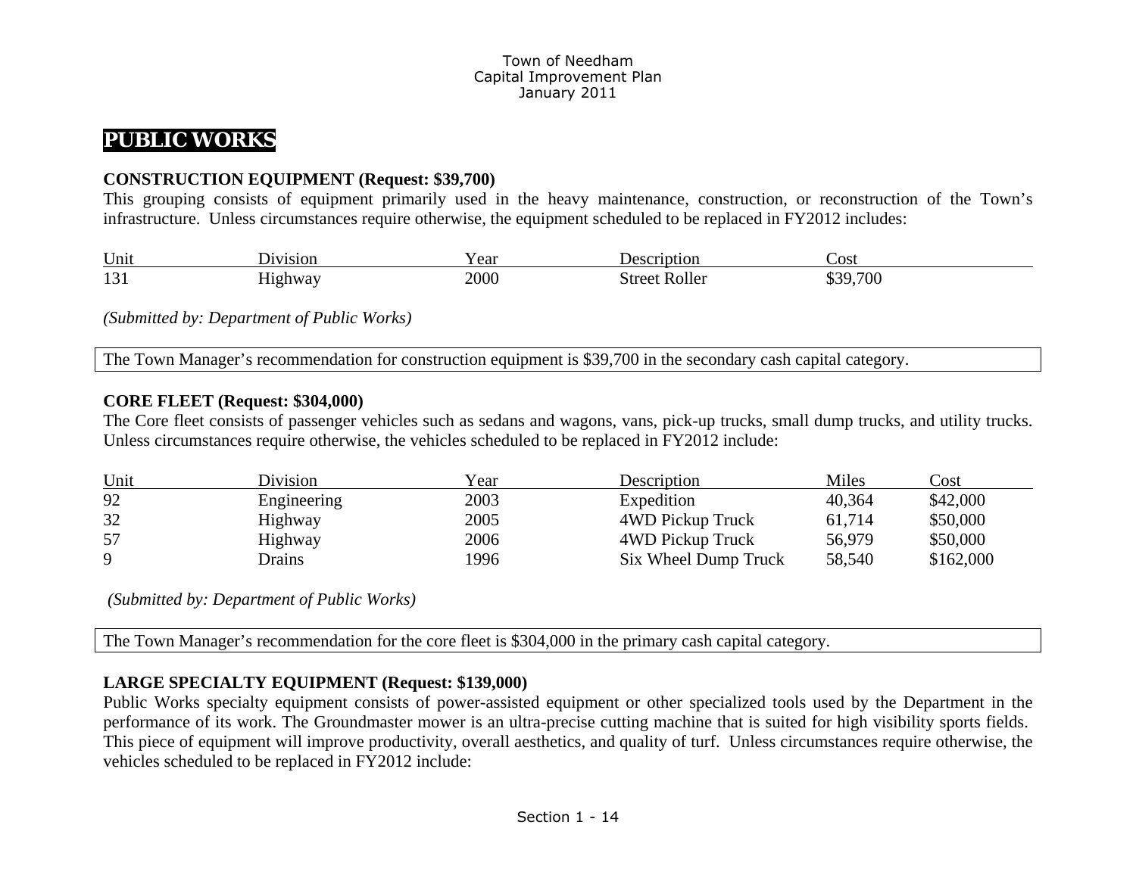# **PUBLIC WORKS**

### **CONSTRUCTION EQUIPMENT (Request: \$39,700)**

This grouping consists of equipment primarily used in the heavy maintenance, construction, or reconstruction of the Town's infrastructure. Unless circumstances require otherwise, the equipment scheduled to be replaced in FY2012 includes:

| Unit                             | J1V1S1ON | 'ear | Jescription   | ∠ost          |
|----------------------------------|----------|------|---------------|---------------|
| $1^{\prime}$ $\cap$ $1$<br>1 J 1 | dighway  | 2000 | Street Roller | 9,700<br>\$39 |

*(Submitted by: Department of Public Works)* 

The Town Manager's recommendation for construction equipment is \$39,700 in the secondary cash capital category.

### **CORE FLEET (Request: \$304,000)**

The Core fleet consists of passenger vehicles such as sedans and wagons, vans, pick-up trucks, small dump trucks, and utility trucks. Unless circumstances require otherwise, the vehicles scheduled to be replaced in FY2012 include:

| Unit | Division      | Year | Description          | Miles  | Cost      |
|------|---------------|------|----------------------|--------|-----------|
| 92   | Engineering   | 2003 | Expedition           | 40,364 | \$42,000  |
| 32   | Highway       | 2005 | 4WD Pickup Truck     | 61,714 | \$50,000  |
| 57   | Highway       | 2006 | 4WD Pickup Truck     | 56,979 | \$50,000  |
| Q    | <b>Drains</b> | 1996 | Six Wheel Dump Truck | 58,540 | \$162,000 |

 *(Submitted by: Department of Public Works)* 

The Town Manager's recommendation for the core fleet is \$304,000 in the primary cash capital category.

### **LARGE SPECIALTY EQUIPMENT (Request: \$139,000)**

Public Works specialty equipment consists of power-assisted equipment or other specialized tools used by the Department in the performance of its work. The Groundmaster mower is an ultra-precise cutting machine that is suited for high visibility sports fields. This piece of equipment will improve productivity, overall aesthetics, and quality of turf. Unless circumstances require otherwise, the vehicles scheduled to be replaced in FY2012 include: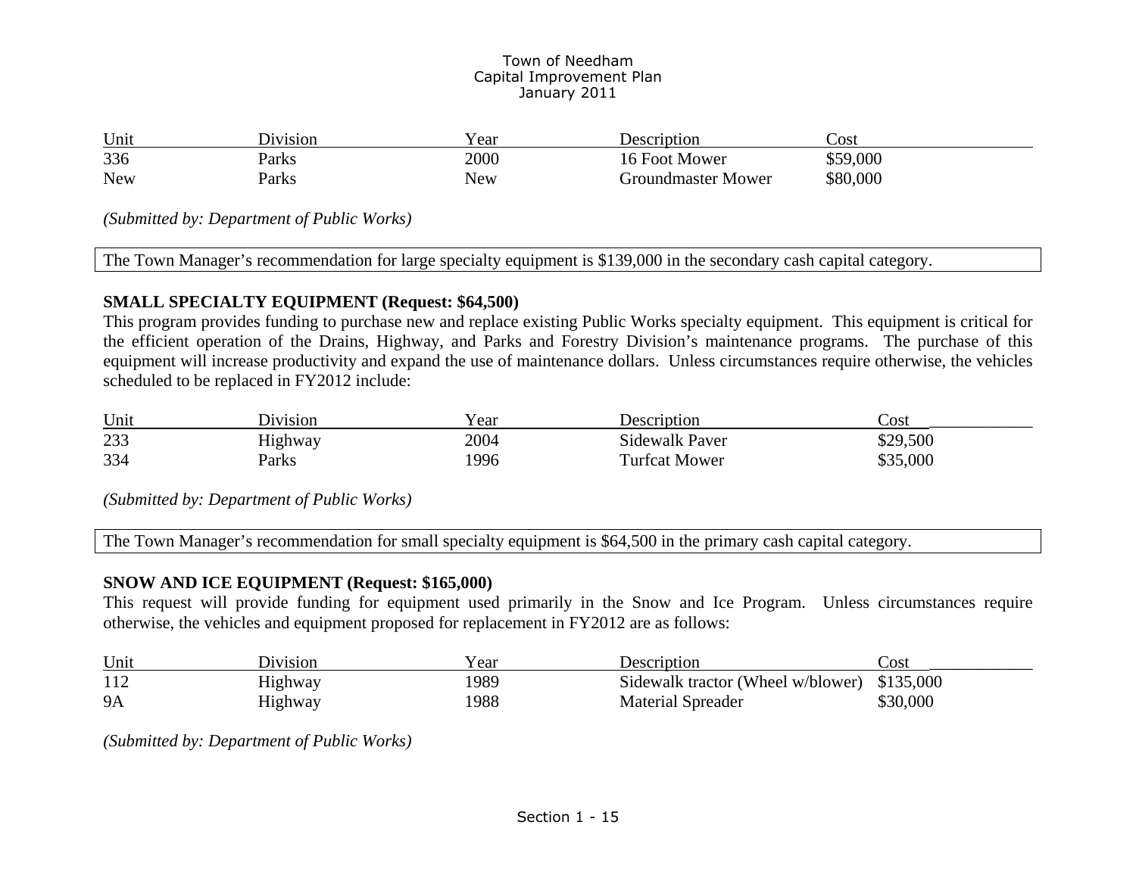| Unit       | Division | r ear | Description        | Cost     |
|------------|----------|-------|--------------------|----------|
| 336        | Parks    | 2000  | 16 Foot Mower      | \$59,000 |
| <b>New</b> | Parks    | New   | Groundmaster Mower | \$80,000 |

*(Submitted by: Department of Public Works)* 

The Town Manager's recommendation for large specialty equipment is \$139,000 in the secondary cash capital category.

### **SMALL SPECIALTY EQUIPMENT (Request: \$64,500)**

This program provides funding to purchase new and replace existing Public Works specialty equipment. This equipment is critical for the efficient operation of the Drains, Highway, and Parks and Forestry Division's maintenance programs. The purchase of this equipment will increase productivity and expand the use of maintenance dollars. Unless circumstances require otherwise, the vehicles scheduled to be replaced in FY2012 include:

| Unit | Jivision       | ear  | Description          | Cost     |
|------|----------------|------|----------------------|----------|
| 233  | <b>Highway</b> | 2004 | Sidewalk Paver       | \$29,500 |
| 334  | Parks          | '996 | <b>Turfcat Mower</b> | \$35,000 |

*(Submitted by: Department of Public Works)* 

The Town Manager's recommendation for small specialty equipment is \$64,500 in the primary cash capital category.

### **SNOW AND ICE EQUIPMENT (Request: \$165,000)**

This request will provide funding for equipment used primarily in the Snow and Ice Program. Unless circumstances require otherwise, the vehicles and equipment proposed for replacement in FY2012 are as follows:

| Unit      | <b>Division</b> | Year | Description                                 | Cost     |
|-----------|-----------------|------|---------------------------------------------|----------|
| 112       | Highway         | 1989 | Sidewalk tractor (Wheel w/blower) \$135,000 |          |
| <b>9A</b> | Highway         | 1988 | <b>Material Spreader</b>                    | \$30,000 |

*(Submitted by: Department of Public Works)*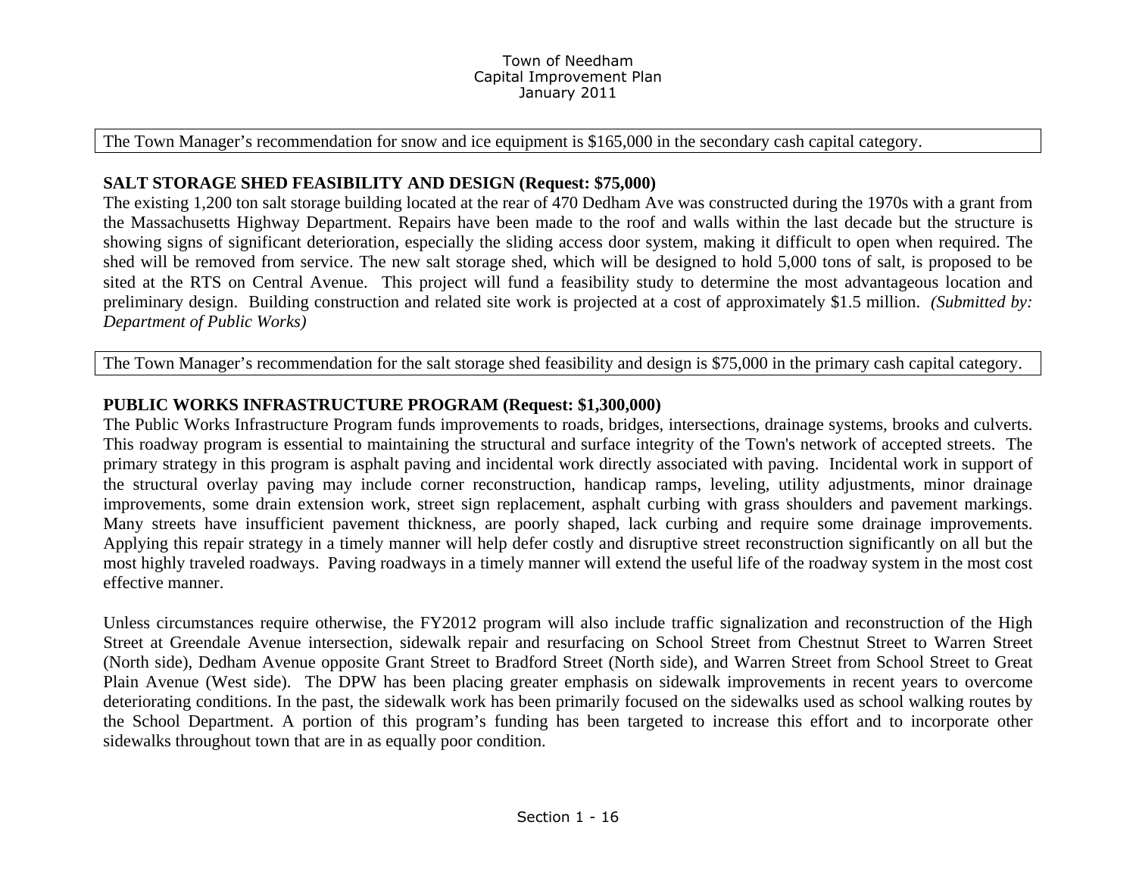The Town Manager's recommendation for snow and ice equipment is \$165,000 in the secondary cash capital category.

### **SALT STORAGE SHED FEASIBILITY AND DESIGN (Request: \$75,000)**

The existing 1,200 ton salt storage building located at the rear of 470 Dedham Ave was constructed during the 1970s with a grant from the Massachusetts Highway Department. Repairs have been made to the roof and walls within the last decade but the structure is showing signs of significant deterioration, especially the sliding access door system, making it difficult to open when required. The shed will be removed from service. The new salt storage shed, which will be designed to hold 5,000 tons of salt, is proposed to be sited at the RTS on Central Avenue. This project will fund a feasibility study to determine the most advantageous location and preliminary design. Building construction and related site work is projected at a cost of approximately \$1.5 million. *(Submitted by: Department of Public Works)* 

The Town Manager's recommendation for the salt storage shed feasibility and design is \$75,000 in the primary cash capital category.

### **PUBLIC WORKS INFRASTRUCTURE PROGRAM (Request: \$1,300,000)**

The Public Works Infrastructure Program funds improvements to roads, bridges, intersections, drainage systems, brooks and culverts. This roadway program is essential to maintaining the structural and surface integrity of the Town's network of accepted streets. The primary strategy in this program is asphalt paving and incidental work directly associated with paving. Incidental work in support of the structural overlay paving may include corner reconstruction, handicap ramps, leveling, utility adjustments, minor drainage improvements, some drain extension work, street sign replacement, asphalt curbing with grass shoulders and pavement markings. Many streets have insufficient pavement thickness, are poorly shaped, lack curbing and require some drainage improvements. Applying this repair strategy in a timely manner will help defer costly and disruptive street reconstruction significantly on all but the most highly traveled roadways. Paving roadways in a timely manner will extend the useful life of the roadway system in the most cost effective manner.

Unless circumstances require otherwise, the FY2012 program will also include traffic signalization and reconstruction of the High Street at Greendale Avenue intersection, sidewalk repair and resurfacing on School Street from Chestnut Street to Warren Street (North side), Dedham Avenue opposite Grant Street to Bradford Street (North side), and Warren Street from School Street to Great Plain Avenue (West side). The DPW has been placing greater emphasis on sidewalk improvements in recent years to overcome deteriorating conditions. In the past, the sidewalk work has been primarily focused on the sidewalks used as school walking routes by the School Department. A portion of this program's funding has been targeted to increase this effort and to incorporate other sidewalks throughout town that are in as equally poor condition.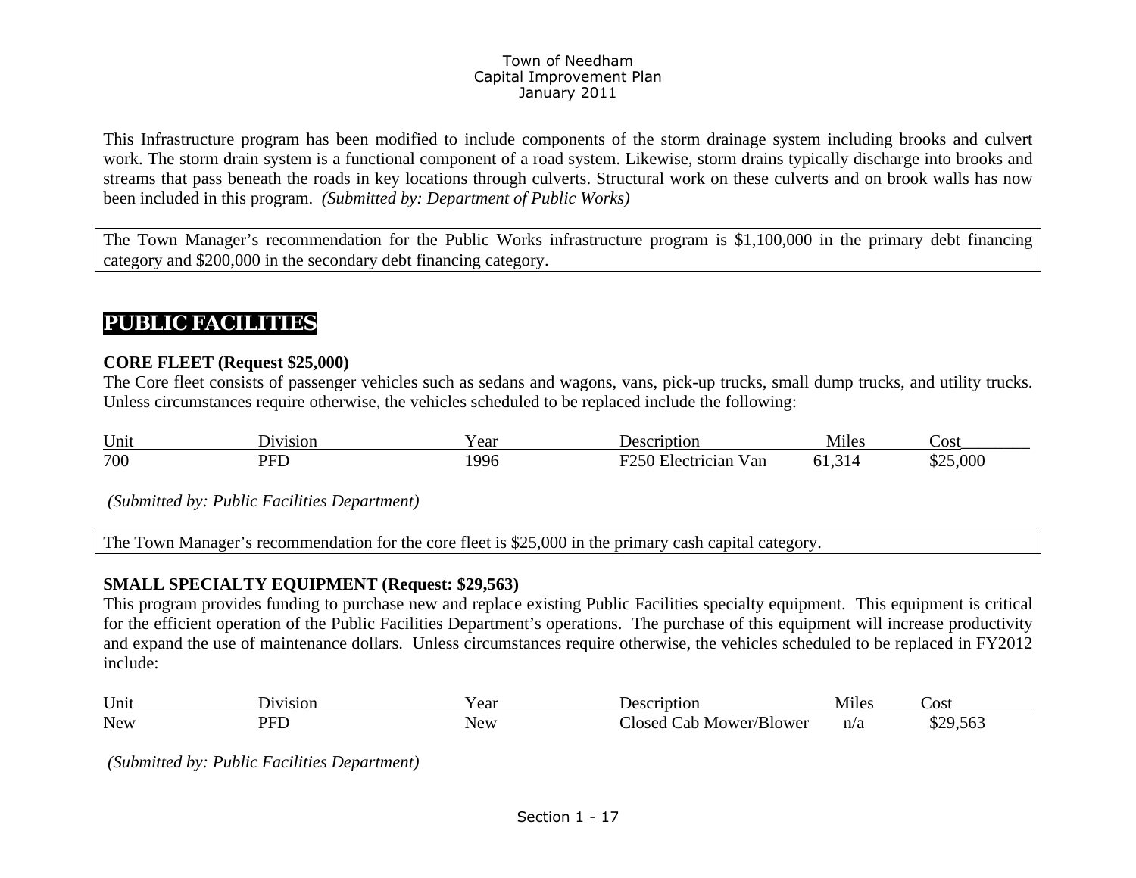This Infrastructure program has been modified to include components of the storm drainage system including brooks and culvert work. The storm drain system is a functional component of a road system. Likewise, storm drains typically discharge into brooks and streams that pass beneath the roads in key locations through culverts. Structural work on these culverts and on brook walls has now been included in this program. *(Submitted by: Department of Public Works)* 

The Town Manager's recommendation for the Public Works infrastructure program is \$1,100,000 in the primary debt financing category and \$200,000 in the secondary debt financing category.

# **PUBLIC FACILITIES**

### **CORE FLEET (Request \$25,000)**

The Core fleet consists of passenger vehicles such as sedans and wagons, vans, pick-up trucks, small dump trucks, and utility trucks. Unless circumstances require otherwise, the vehicles scheduled to be replaced include the following:

| Unit | J1V1S10N | ear | otion                                | tile <sup>s</sup><br>⊣VI 1 | COST .                          |
|------|----------|-----|--------------------------------------|----------------------------|---------------------------------|
| 700  | DET      | 996 | $\blacksquare$<br>V an<br>lectrician | n.                         | 000.<br>$\triangle$ $\triangle$ |

 *(Submitted by: Public Facilities Department)* 

The Town Manager's recommendation for the core fleet is \$25,000 in the primary cash capital category.

### **SMALL SPECIALTY EQUIPMENT (Request: \$29,563)**

This program provides funding to purchase new and replace existing Public Facilities specialty equipment. This equipment is critical for the efficient operation of the Public Facilities Department's operations. The purchase of this equipment will increase productivity and expand the use of maintenance dollars. Unless circumstances require otherwise, the vehicles scheduled to be replaced in FY2012 include:

| Uni        | 81 O I  | ഹ<br>cai |                                      | <b>M</b> iles | UG.<br>ົບມ |
|------------|---------|----------|--------------------------------------|---------------|------------|
| <b>New</b> | חת<br>- | New      | -ar<br>0.00d<br>. ⊾Nl∩we*′<br>⊶lowe⊷ | n/a           | DO.        |

 *(Submitted by: Public Facilities Department)*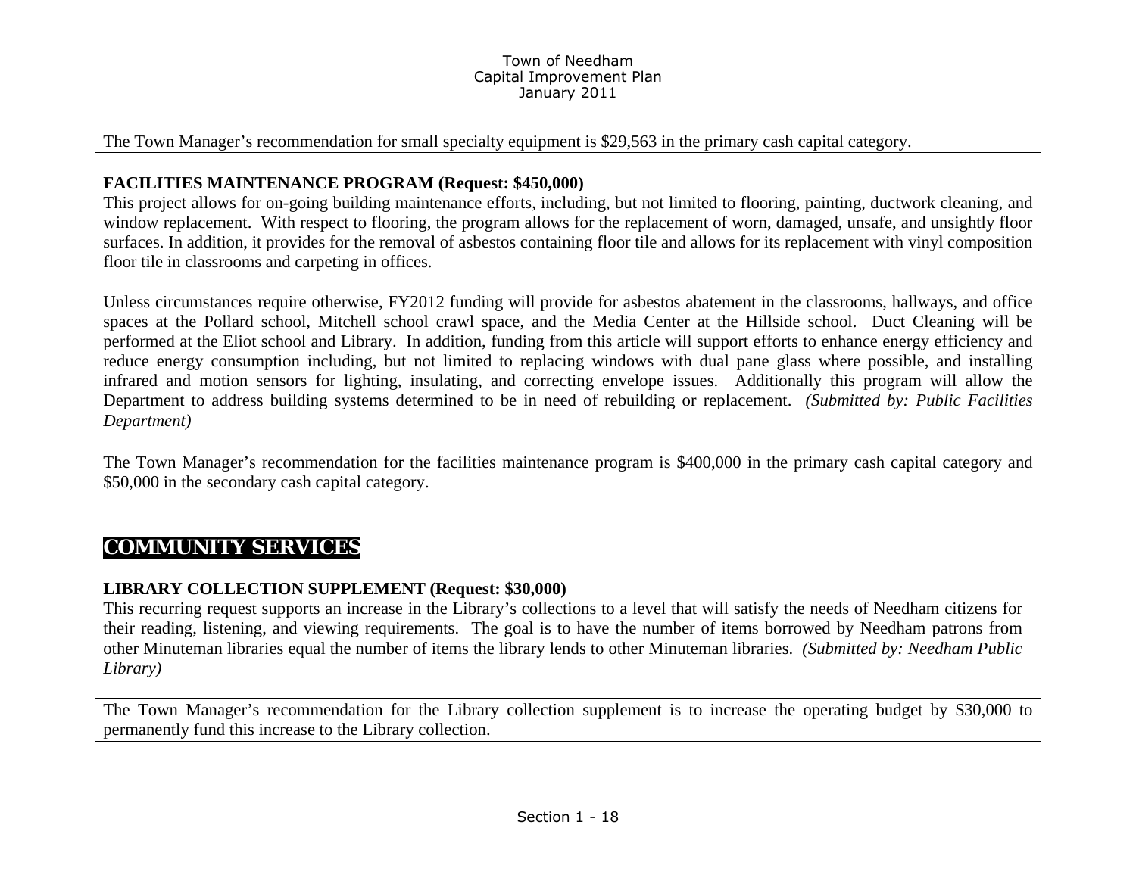The Town Manager's recommendation for small specialty equipment is \$29,563 in the primary cash capital category.

### **FACILITIES MAINTENANCE PROGRAM (Request: \$450,000)**

This project allows for on-going building maintenance efforts, including, but not limited to flooring, painting, ductwork cleaning, and window replacement. With respect to flooring, the program allows for the replacement of worn, damaged, unsafe, and unsightly floor surfaces. In addition, it provides for the removal of asbestos containing floor tile and allows for its replacement with vinyl composition floor tile in classrooms and carpeting in offices.

Unless circumstances require otherwise, FY2012 funding will provide for asbestos abatement in the classrooms, hallways, and office spaces at the Pollard school, Mitchell school crawl space, and the Media Center at the Hillside school. Duct Cleaning will be performed at the Eliot school and Library. In addition, funding from this article will support efforts to enhance energy efficiency and reduce energy consumption including, but not limited to replacing windows with dual pane glass where possible, and installing infrared and motion sensors for lighting, insulating, and correcting envelope issues. Additionally this program will allow the Department to address building systems determined to be in need of rebuilding or replacement. *(Submitted by: Public Facilities Department)* 

The Town Manager's recommendation for the facilities maintenance program is \$400,000 in the primary cash capital category and \$50,000 in the secondary cash capital category.

# **COMMUNITY SERVICES**

### **LIBRARY COLLECTION SUPPLEMENT (Request: \$30,000)**

This recurring request supports an increase in the Library's collections to a level that will satisfy the needs of Needham citizens for their reading, listening, and viewing requirements. The goal is to have the number of items borrowed by Needham patrons from other Minuteman libraries equal the number of items the library lends to other Minuteman libraries. *(Submitted by: Needham Public Library)* 

The Town Manager's recommendation for the Library collection supplement is to increase the operating budget by \$30,000 to permanently fund this increase to the Library collection.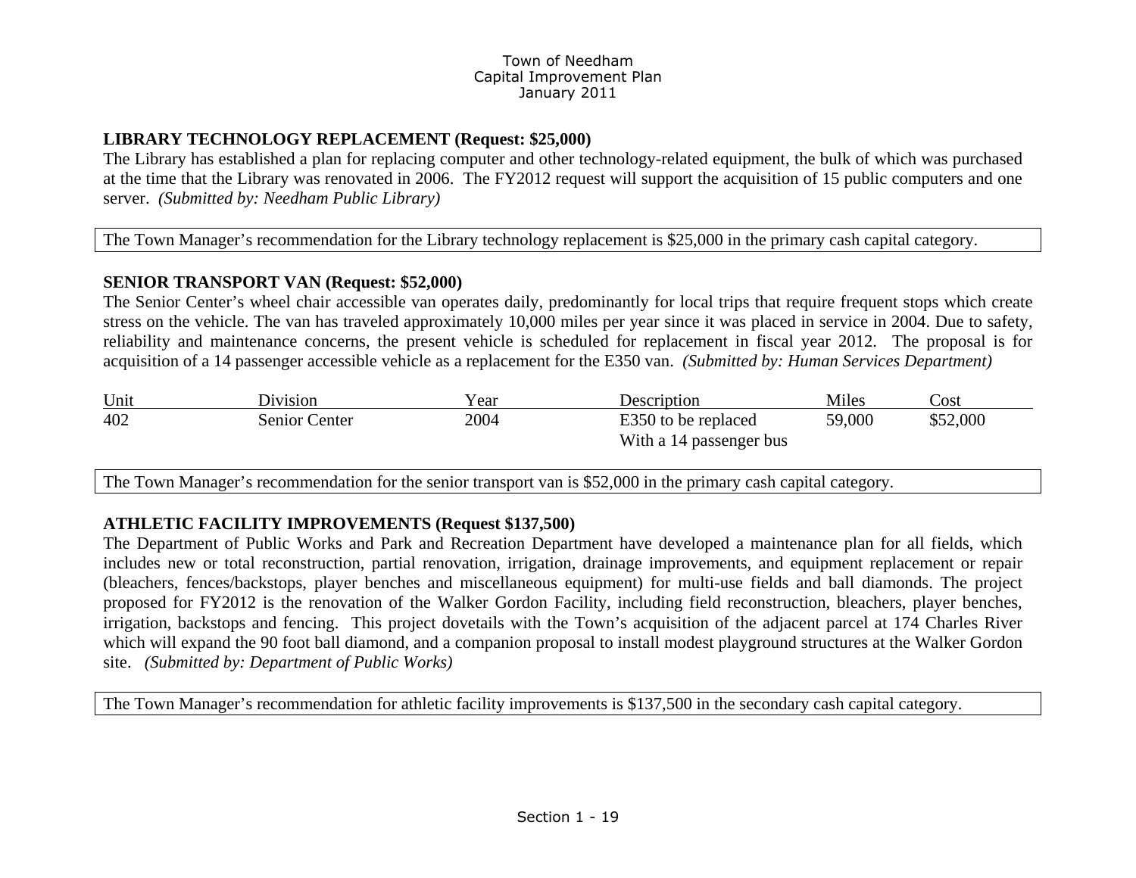### **LIBRARY TECHNOLOGY REPLACEMENT (Request: \$25,000)**

The Library has established a plan for replacing computer and other technology-related equipment, the bulk of which was purchased at the time that the Library was renovated in 2006. The FY2012 request will support the acquisition of 15 public computers and one server. *(Submitted by: Needham Public Library)* 

The Town Manager's recommendation for the Library technology replacement is \$25,000 in the primary cash capital category.

### **SENIOR TRANSPORT VAN (Request: \$52,000)**

The Senior Center's wheel chair accessible van operates daily, predominantly for local trips that require frequent stops which create stress on the vehicle. The van has traveled approximately 10,000 miles per year since it was placed in service in 2004. Due to safety, reliability and maintenance concerns, the present vehicle is scheduled for replacement in fiscal year 2012. The proposal is for acquisition of a 14 passenger accessible vehicle as a replacement for the E350 van. *(Submitted by: Human Services Department)* 

| Unit | <b>Division</b> | Year | Description                                    | Miles  | Sost.    |
|------|-----------------|------|------------------------------------------------|--------|----------|
| 402  | Senior Center   | 2004 | E350 to be replaced<br>With a 14 passenger bus | 59,000 | \$52,000 |

The Town Manager's recommendation for the senior transport van is \$52,000 in the primary cash capital category.

### **ATHLETIC FACILITY IMPROVEMENTS (Request \$137,500)**

The Department of Public Works and Park and Recreation Department have developed a maintenance plan for all fields, which includes new or total reconstruction, partial renovation, irrigation, drainage improvements, and equipment replacement or repair (bleachers, fences/backstops, player benches and miscellaneous equipment) for multi-use fields and ball diamonds. The project proposed for FY2012 is the renovation of the Walker Gordon Facility, including field reconstruction, bleachers, player benches, irrigation, backstops and fencing. This project dovetails with the Town's acquisition of the adjacent parcel at 174 Charles River which will expand the 90 foot ball diamond, and a companion proposal to install modest playground structures at the Walker Gordon site. *(Submitted by: Department of Public Works)*

The Town Manager's recommendation for athletic facility improvements is \$137,500 in the secondary cash capital category.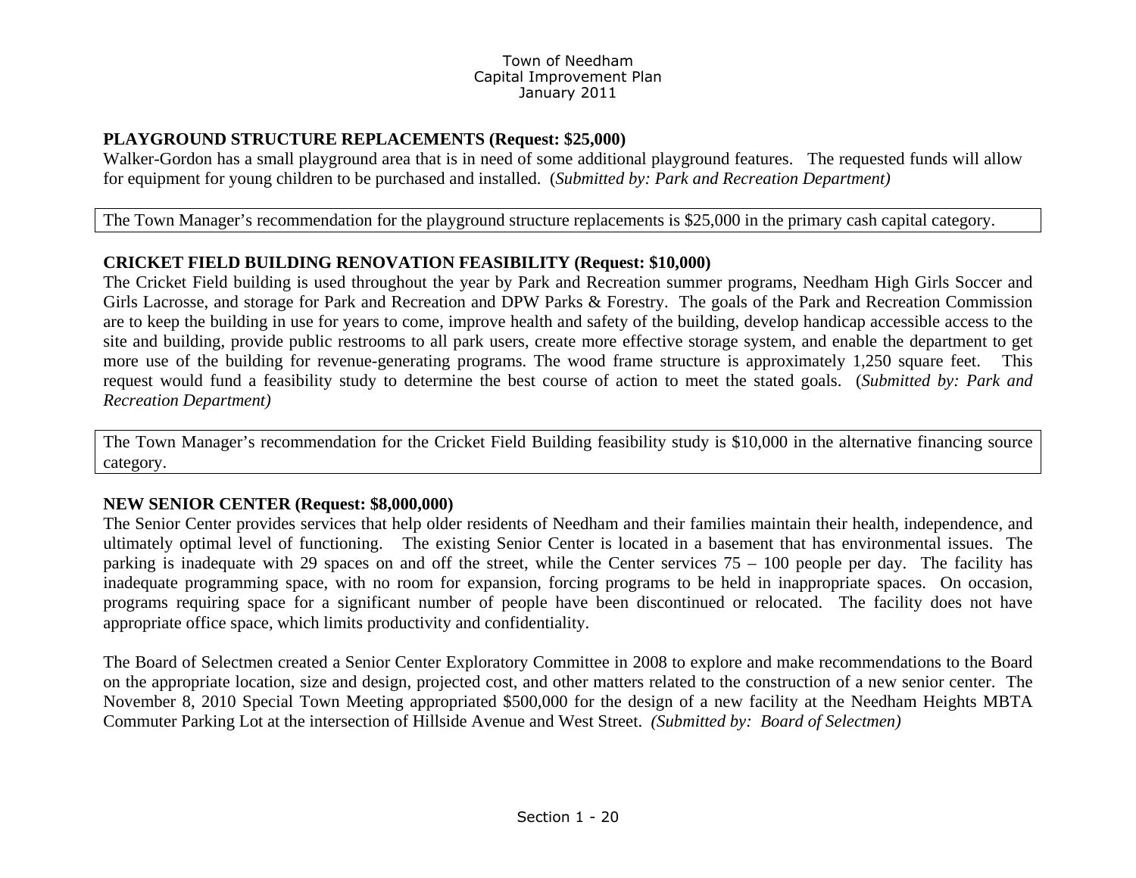### **PLAYGROUND STRUCTURE REPLACEMENTS (Request: \$25,000)**

Walker-Gordon has a small playground area that is in need of some additional playground features. The requested funds will allow for equipment for young children to be purchased and installed. (*Submitted by: Park and Recreation Department)* 

### The Town Manager's recommendation for the playground structure replacements is \$25,000 in the primary cash capital category.

### **CRICKET FIELD BUILDING RENOVATION FEASIBILITY (Request: \$10,000)**

The Cricket Field building is used throughout the year by Park and Recreation summer programs, Needham High Girls Soccer and Girls Lacrosse, and storage for Park and Recreation and DPW Parks & Forestry. The goals of the Park and Recreation Commission are to keep the building in use for years to come, improve health and safety of the building, develop handicap accessible access to the site and building, provide public restrooms to all park users, create more effective storage system, and enable the department to get more use of the building for revenue-generating programs. The wood frame structure is approximately 1,250 square feet. This request would fund a feasibility study to determine the best course of action to meet the stated goals. (*Submitted by: Park and Recreation Department)* 

The Town Manager's recommendation for the Cricket Field Building feasibility study is \$10,000 in the alternative financing source category.

### **NEW SENIOR CENTER (Request: \$8,000,000)**

The Senior Center provides services that help older residents of Needham and their families maintain their health, independence, and ultimately optimal level of functioning. The existing Senior Center is located in a basement that has environmental issues. The parking is inadequate with 29 spaces on and off the street, while the Center services 75 – 100 people per day. The facility has inadequate programming space, with no room for expansion, forcing programs to be held in inappropriate spaces. On occasion, programs requiring space for a significant number of people have been discontinued or relocated. The facility does not have appropriate office space, which limits productivity and confidentiality.

The Board of Selectmen created a Senior Center Exploratory Committee in 2008 to explore and make recommendations to the Board on the appropriate location, size and design, projected cost, and other matters related to the construction of a new senior center. The November 8, 2010 Special Town Meeting appropriated \$500,000 for the design of a new facility at the Needham Heights MBTA Commuter Parking Lot at the intersection of Hillside Avenue and West Street. *(Submitted by: Board of Selectmen)*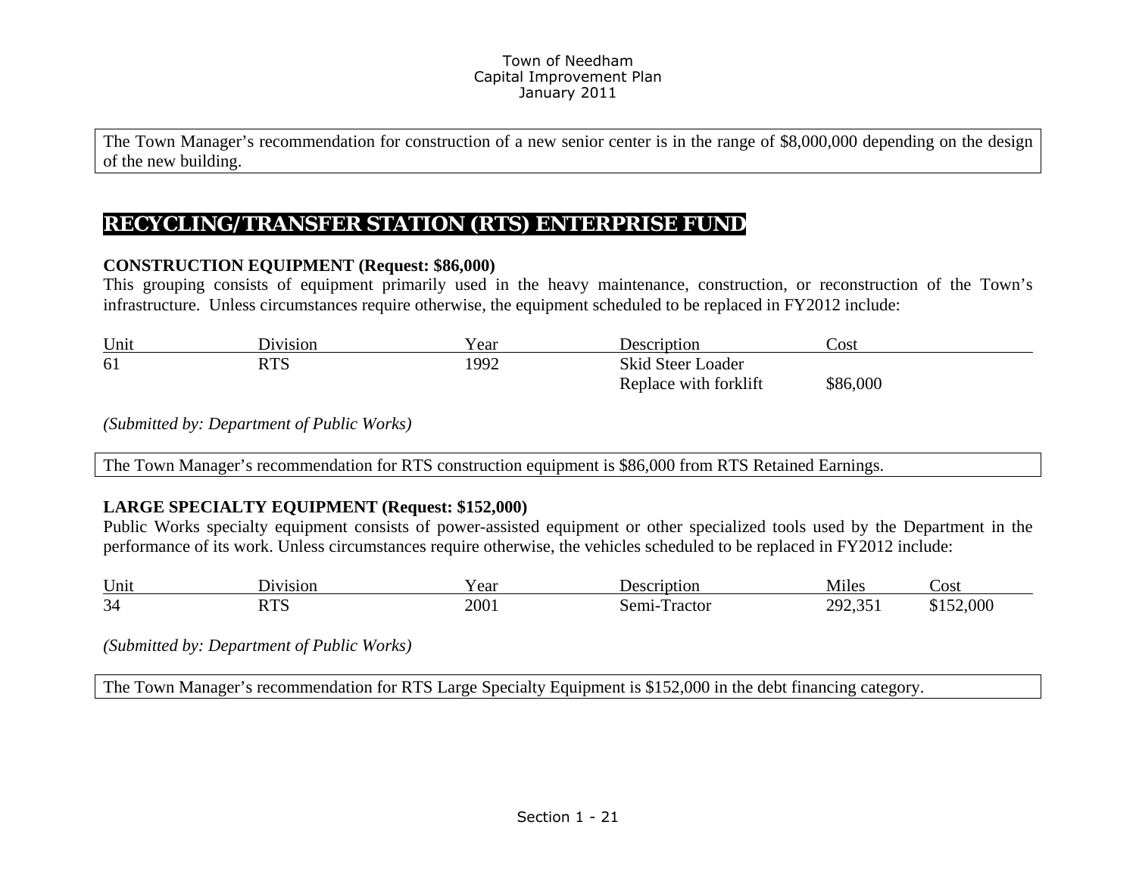The Town Manager's recommendation for construction of a new senior center is in the range of \$8,000,000 depending on the design of the new building.

# **RECYCLING/TRANSFER STATION (RTS) ENTERPRISE FUND**

### **CONSTRUCTION EQUIPMENT (Request: \$86,000)**

This grouping consists of equipment primarily used in the heavy maintenance, construction, or reconstruction of the Town's infrastructure. Unless circumstances require otherwise, the equipment scheduled to be replaced in FY2012 include:

| Unit | division    | Year | Jescription           | Cost     |
|------|-------------|------|-----------------------|----------|
| 61   | חים<br>L 12 | 1992 | Skid Steer Loader     |          |
|      |             |      | Replace with forklift | \$86,000 |

*(Submitted by: Department of Public Works)* 

The Town Manager's recommendation for RTS construction equipment is \$86,000 from RTS Retained Earnings.

### **LARGE SPECIALTY EQUIPMENT (Request: \$152,000)**

Public Works specialty equipment consists of power-assisted equipment or other specialized tools used by the Department in the performance of its work. Unless circumstances require otherwise, the vehicles scheduled to be replaced in FY2012 include:

| Unit         | V1S1Of                   | ear          | otion<br>. Jer      | Miles                                   | 'OSt |
|--------------|--------------------------|--------------|---------------------|-----------------------------------------|------|
| $\sim$<br>34 | nmo<br>.ww<br>$\sim$ $-$ | 200.<br>---- | ractor<br>.5er<br>. | $\sim$ $\sim$<br>າດາ<br>, , , , , , , , | ,000 |

*(Submitted by: Department of Public Works)* 

The Town Manager's recommendation for RTS Large Specialty Equipment is \$152,000 in the debt financing category.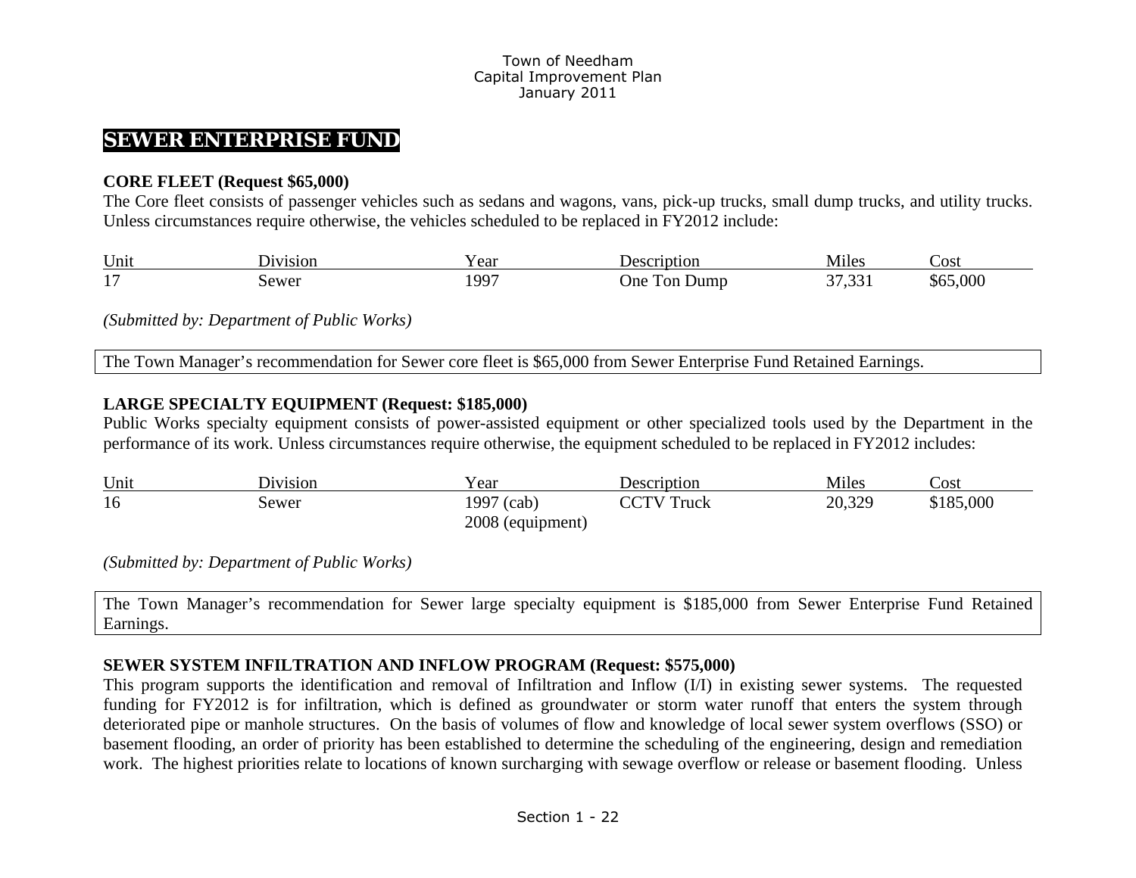## **SEWER ENTERPRISE FUND**

### **CORE FLEET (Request \$65,000)**

The Core fleet consists of passenger vehicles such as sedans and wagons, vans, pick-up trucks, small dump trucks, and utility trucks. Unless circumstances require otherwise, the vehicles scheduled to be replaced in FY2012 include:

| Uni           | <b>1V1S1OL</b>         | ear | otior               | <b>M</b> iles<br>-NF | ∠ost           |
|---------------|------------------------|-----|---------------------|----------------------|----------------|
| $\sim$<br>. . | ,ewer<br>$\sim$ $\sim$ | QQ7 | )ne<br>Jumr<br>. or | $\sim$               | 55.000<br>.NU. |

*(Submitted by: Department of Public Works)* 

The Town Manager's recommendation for Sewer core fleet is \$65,000 from Sewer Enterprise Fund Retained Earnings.

### **LARGE SPECIALTY EQUIPMENT (Request: \$185,000)**

Public Works specialty equipment consists of power-assisted equipment or other specialized tools used by the Department in the performance of its work. Unless circumstances require otherwise, the equipment scheduled to be replaced in FY2012 includes:

| Unit | ∽…<br>$D1 1 1 1 1$ | cear ⁄           | Description   | $\mathbf{r}$<br>Miles | Cost      |
|------|--------------------|------------------|---------------|-----------------------|-----------|
| 16   | sewer              | 1997<br>(cab,    | CCTV<br>Truck | 20,329                | \$185,000 |
|      |                    | 2008 (equipment) |               |                       |           |

*(Submitted by: Department of Public Works)* 

The Town Manager's recommendation for Sewer large specialty equipment is \$185,000 from Sewer Enterprise Fund Retained Earnings.

### **SEWER SYSTEM INFILTRATION AND INFLOW PROGRAM (Request: \$575,000)**

This program supports the identification and removal of Infiltration and Inflow (I/I) in existing sewer systems. The requested funding for FY2012 is for infiltration, which is defined as groundwater or storm water runoff that enters the system through deteriorated pipe or manhole structures. On the basis of volumes of flow and knowledge of local sewer system overflows (SSO) or basement flooding, an order of priority has been established to determine the scheduling of the engineering, design and remediation work. The highest priorities relate to locations of known surcharging with sewage overflow or release or basement flooding. Unless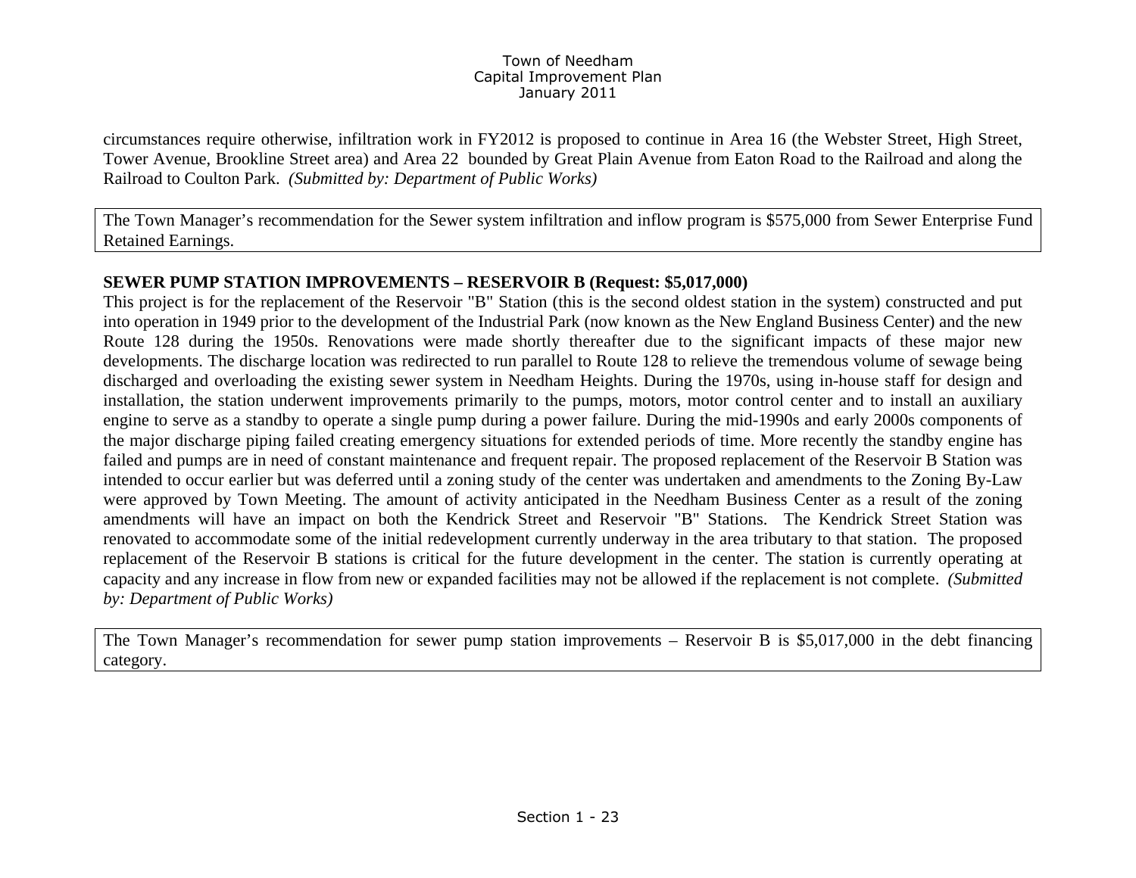circumstances require otherwise, infiltration work in FY2012 is proposed to continue in Area 16 (the Webster Street, High Street, Tower Avenue, Brookline Street area) and Area 22 bounded by Great Plain Avenue from Eaton Road to the Railroad and along the Railroad to Coulton Park. *(Submitted by: Department of Public Works)* 

The Town Manager's recommendation for the Sewer system infiltration and inflow program is \$575,000 from Sewer Enterprise Fund Retained Earnings.

### **SEWER PUMP STATION IMPROVEMENTS – RESERVOIR B (Request: \$5,017,000)**

This project is for the replacement of the Reservoir "B" Station (this is the second oldest station in the system) constructed and put into operation in 1949 prior to the development of the Industrial Park (now known as the New England Business Center) and the new Route 128 during the 1950s. Renovations were made shortly thereafter due to the significant impacts of these major new developments. The discharge location was redirected to run parallel to Route 128 to relieve the tremendous volume of sewage being discharged and overloading the existing sewer system in Needham Heights. During the 1970s, using in-house staff for design and installation, the station underwent improvements primarily to the pumps, motors, motor control center and to install an auxiliary engine to serve as a standby to operate a single pump during a power failure. During the mid-1990s and early 2000s components of the major discharge piping failed creating emergency situations for extended periods of time. More recently the standby engine has failed and pumps are in need of constant maintenance and frequent repair. The proposed replacement of the Reservoir B Station was intended to occur earlier but was deferred until a zoning study of the center was undertaken and amendments to the Zoning By-Law were approved by Town Meeting. The amount of activity anticipated in the Needham Business Center as a result of the zoning amendments will have an impact on both the Kendrick Street and Reservoir "B" Stations. The Kendrick Street Station was renovated to accommodate some of the initial redevelopment currently underway in the area tributary to that station. The proposed replacement of the Reservoir B stations is critical for the future development in the center. The station is currently operating at capacity and any increase in flow from new or expanded facilities may not be allowed if the replacement is not complete. *(Submitted by: Department of Public Works)* 

The Town Manager's recommendation for sewer pump station improvements – Reservoir B is \$5,017,000 in the debt financing category.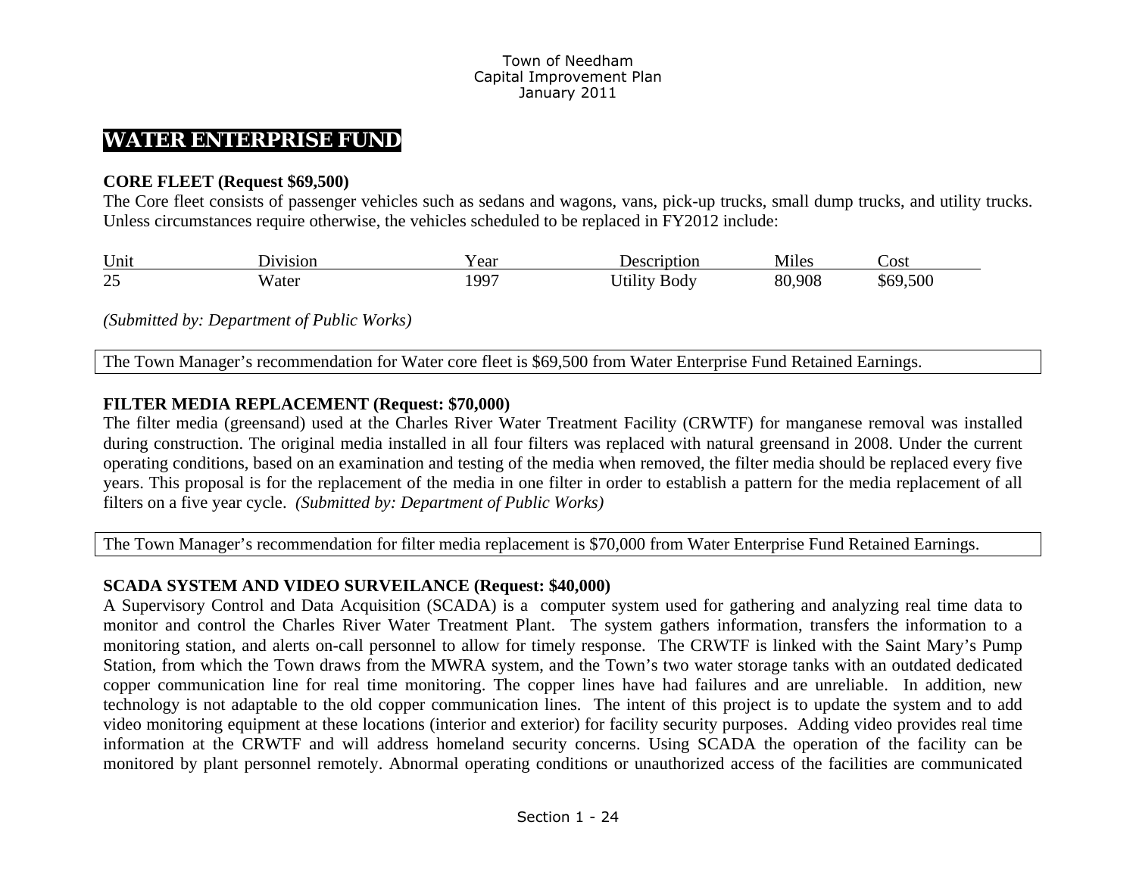## **WATER ENTERPRISE FUND**

### **CORE FLEET (Request \$69,500)**

The Core fleet consists of passenger vehicles such as sedans and wagons, vans, pick-up trucks, small dump trucks, and utility trucks. Unless circumstances require otherwise, the vehicles scheduled to be replaced in FY2012 include:

| Unit          | J1V1S1ON    | ഹ<br>U.       | ition<br>$\mathbf{a}$ | $- \cdot$<br>Mules | Cost L       |
|---------------|-------------|---------------|-----------------------|--------------------|--------------|
| $\Omega$<br>ت | W ater<br>. | $100-$<br>. . | 50dv                  | .908<br>0C<br>ווא  | 500<br>∴n∩'' |

*(Submitted by: Department of Public Works)* 

The Town Manager's recommendation for Water core fleet is \$69,500 from Water Enterprise Fund Retained Earnings.

### **FILTER MEDIA REPLACEMENT (Request: \$70,000)**

The filter media (greensand) used at the Charles River Water Treatment Facility (CRWTF) for manganese removal was installed during construction. The original media installed in all four filters was replaced with natural greensand in 2008. Under the current operating conditions, based on an examination and testing of the media when removed, the filter media should be replaced every five years. This proposal is for the replacement of the media in one filter in order to establish a pattern for the media replacement of all filters on a five year cycle. *(Submitted by: Department of Public Works)* 

The Town Manager's recommendation for filter media replacement is \$70,000 from Water Enterprise Fund Retained Earnings.

### **SCADA SYSTEM AND VIDEO SURVEILANCE (Request: \$40,000)**

A Supervisory Control and Data Acquisition (SCADA) is a computer system used for gathering and analyzing real time data to monitor and control the Charles River Water Treatment Plant. The system gathers information, transfers the information to a monitoring station, and alerts on-call personnel to allow for timely response. The CRWTF is linked with the Saint Mary's Pump Station, from which the Town draws from the MWRA system, and the Town's two water storage tanks with an outdated dedicated copper communication line for real time monitoring. The copper lines have had failures and are unreliable. In addition, new technology is not adaptable to the old copper communication lines. The intent of this project is to update the system and to add video monitoring equipment at these locations (interior and exterior) for facility security purposes. Adding video provides real time information at the CRWTF and will address homeland security concerns. Using SCADA the operation of the facility can be monitored by plant personnel remotely. Abnormal operating conditions or unauthorized access of the facilities are communicated